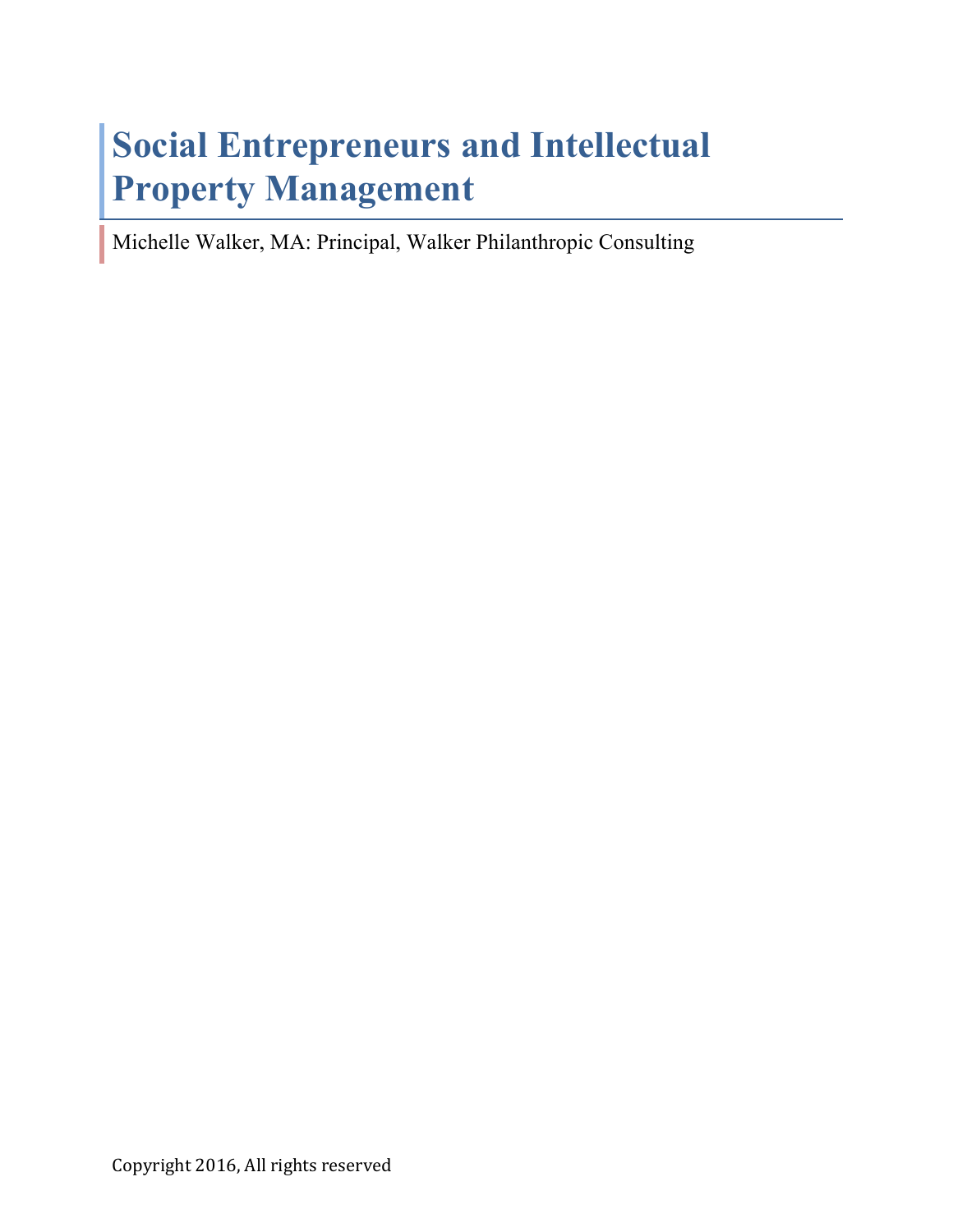# **Social Entrepreneurs and Intellectual Property Management**

Michelle Walker, MA: Principal, Walker Philanthropic Consulting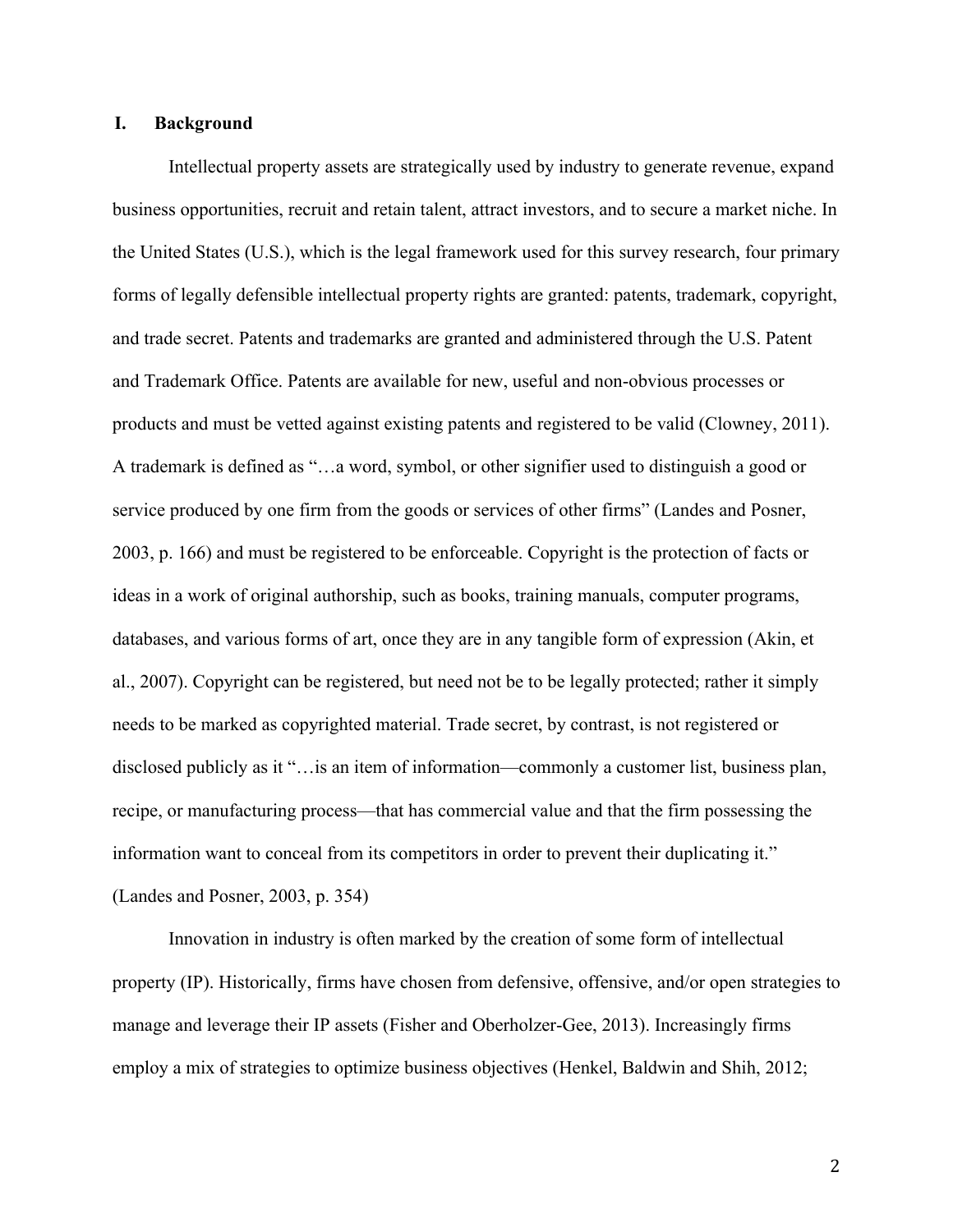# **I. Background**

Intellectual property assets are strategically used by industry to generate revenue, expand business opportunities, recruit and retain talent, attract investors, and to secure a market niche. In the United States (U.S.), which is the legal framework used for this survey research, four primary forms of legally defensible intellectual property rights are granted: patents, trademark, copyright, and trade secret. Patents and trademarks are granted and administered through the U.S. Patent and Trademark Office. Patents are available for new, useful and non-obvious processes or products and must be vetted against existing patents and registered to be valid (Clowney, 2011). A trademark is defined as "…a word, symbol, or other signifier used to distinguish a good or service produced by one firm from the goods or services of other firms" (Landes and Posner, 2003, p. 166) and must be registered to be enforceable. Copyright is the protection of facts or ideas in a work of original authorship, such as books, training manuals, computer programs, databases, and various forms of art, once they are in any tangible form of expression (Akin, et al., 2007). Copyright can be registered, but need not be to be legally protected; rather it simply needs to be marked as copyrighted material. Trade secret, by contrast, is not registered or disclosed publicly as it "... is an item of information—commonly a customer list, business plan, recipe, or manufacturing process—that has commercial value and that the firm possessing the information want to conceal from its competitors in order to prevent their duplicating it." (Landes and Posner, 2003, p. 354)

Innovation in industry is often marked by the creation of some form of intellectual property (IP). Historically, firms have chosen from defensive, offensive, and/or open strategies to manage and leverage their IP assets (Fisher and Oberholzer-Gee, 2013). Increasingly firms employ a mix of strategies to optimize business objectives (Henkel, Baldwin and Shih, 2012;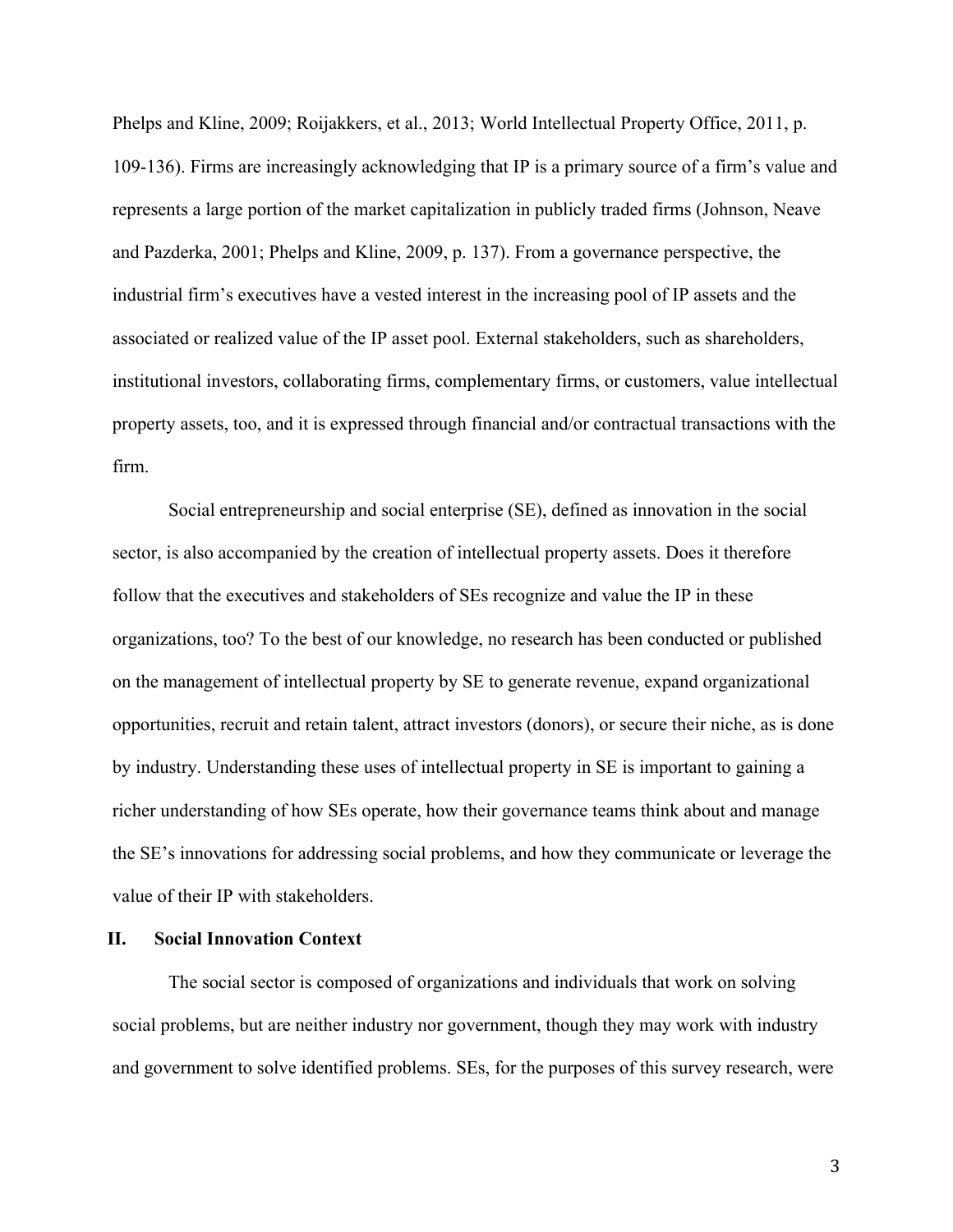Phelps and Kline, 2009; Roijakkers, et al., 2013; World Intellectual Property Office, 2011, p. 109-136). Firms are increasingly acknowledging that IP is a primary source of a firm's value and represents a large portion of the market capitalization in publicly traded firms (Johnson, Neave and Pazderka, 2001; Phelps and Kline, 2009, p. 137). From a governance perspective, the industrial firm's executives have a vested interest in the increasing pool of IP assets and the associated or realized value of the IP asset pool. External stakeholders, such as shareholders, institutional investors, collaborating firms, complementary firms, or customers, value intellectual property assets, too, and it is expressed through financial and/or contractual transactions with the firm.

Social entrepreneurship and social enterprise (SE), defined as innovation in the social sector, is also accompanied by the creation of intellectual property assets. Does it therefore follow that the executives and stakeholders of SEs recognize and value the IP in these organizations, too? To the best of our knowledge, no research has been conducted or published on the management of intellectual property by SE to generate revenue, expand organizational opportunities, recruit and retain talent, attract investors (donors), or secure their niche, as is done by industry. Understanding these uses of intellectual property in SE is important to gaining a richer understanding of how SEs operate, how their governance teams think about and manage the SE's innovations for addressing social problems, and how they communicate or leverage the value of their IP with stakeholders.

# **II. Social Innovation Context**

The social sector is composed of organizations and individuals that work on solving social problems, but are neither industry nor government, though they may work with industry and government to solve identified problems. SEs, for the purposes of this survey research, were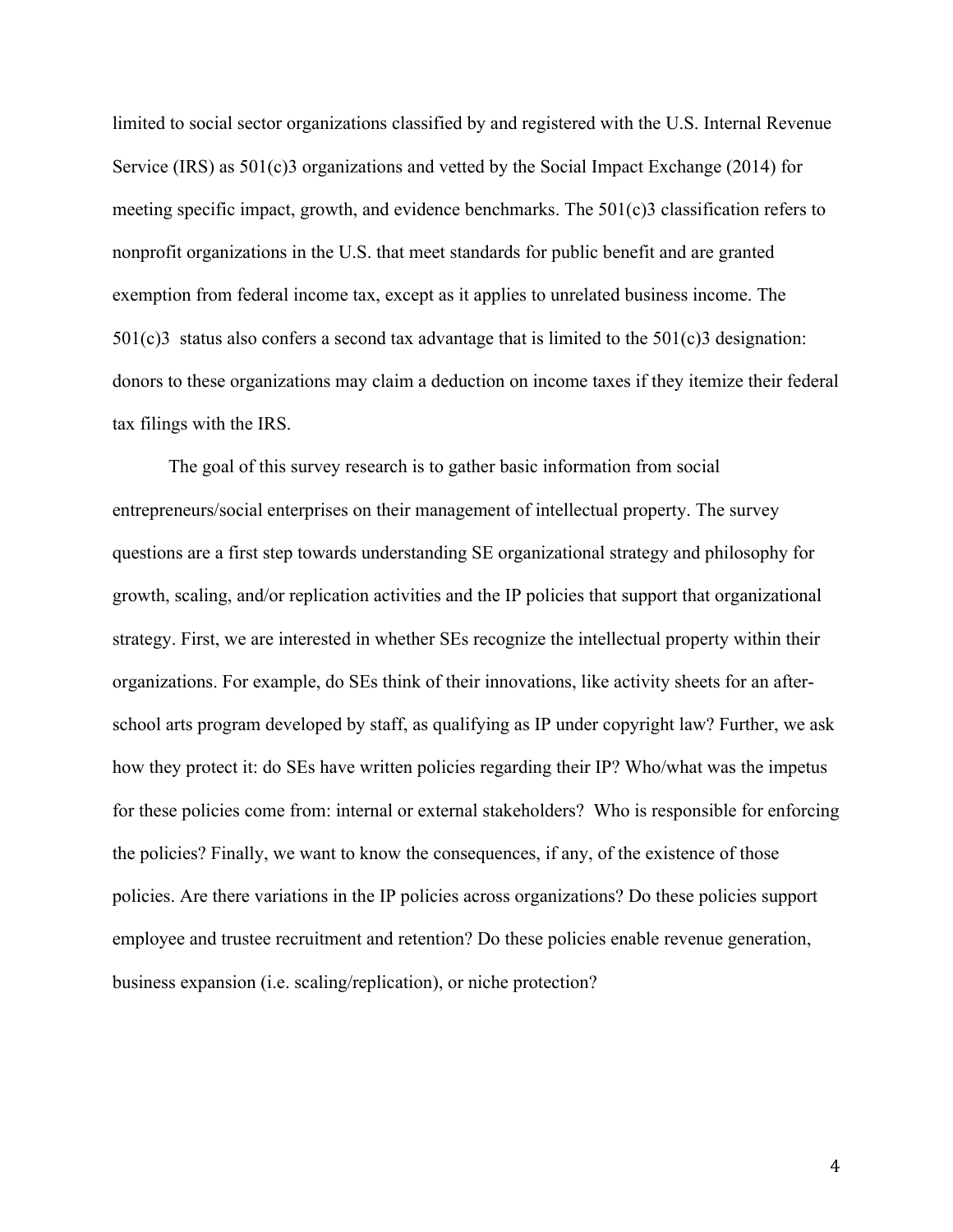limited to social sector organizations classified by and registered with the U.S. Internal Revenue Service (IRS) as 501(c)3 organizations and vetted by the Social Impact Exchange (2014) for meeting specific impact, growth, and evidence benchmarks. The 501(c)3 classification refers to nonprofit organizations in the U.S. that meet standards for public benefit and are granted exemption from federal income tax, except as it applies to unrelated business income. The  $501(c)3$  status also confers a second tax advantage that is limited to the  $501(c)3$  designation: donors to these organizations may claim a deduction on income taxes if they itemize their federal tax filings with the IRS.

The goal of this survey research is to gather basic information from social entrepreneurs/social enterprises on their management of intellectual property. The survey questions are a first step towards understanding SE organizational strategy and philosophy for growth, scaling, and/or replication activities and the IP policies that support that organizational strategy. First, we are interested in whether SEs recognize the intellectual property within their organizations. For example, do SEs think of their innovations, like activity sheets for an afterschool arts program developed by staff, as qualifying as IP under copyright law? Further, we ask how they protect it: do SEs have written policies regarding their IP? Who/what was the impetus for these policies come from: internal or external stakeholders? Who is responsible for enforcing the policies? Finally, we want to know the consequences, if any, of the existence of those policies. Are there variations in the IP policies across organizations? Do these policies support employee and trustee recruitment and retention? Do these policies enable revenue generation, business expansion (i.e. scaling/replication), or niche protection?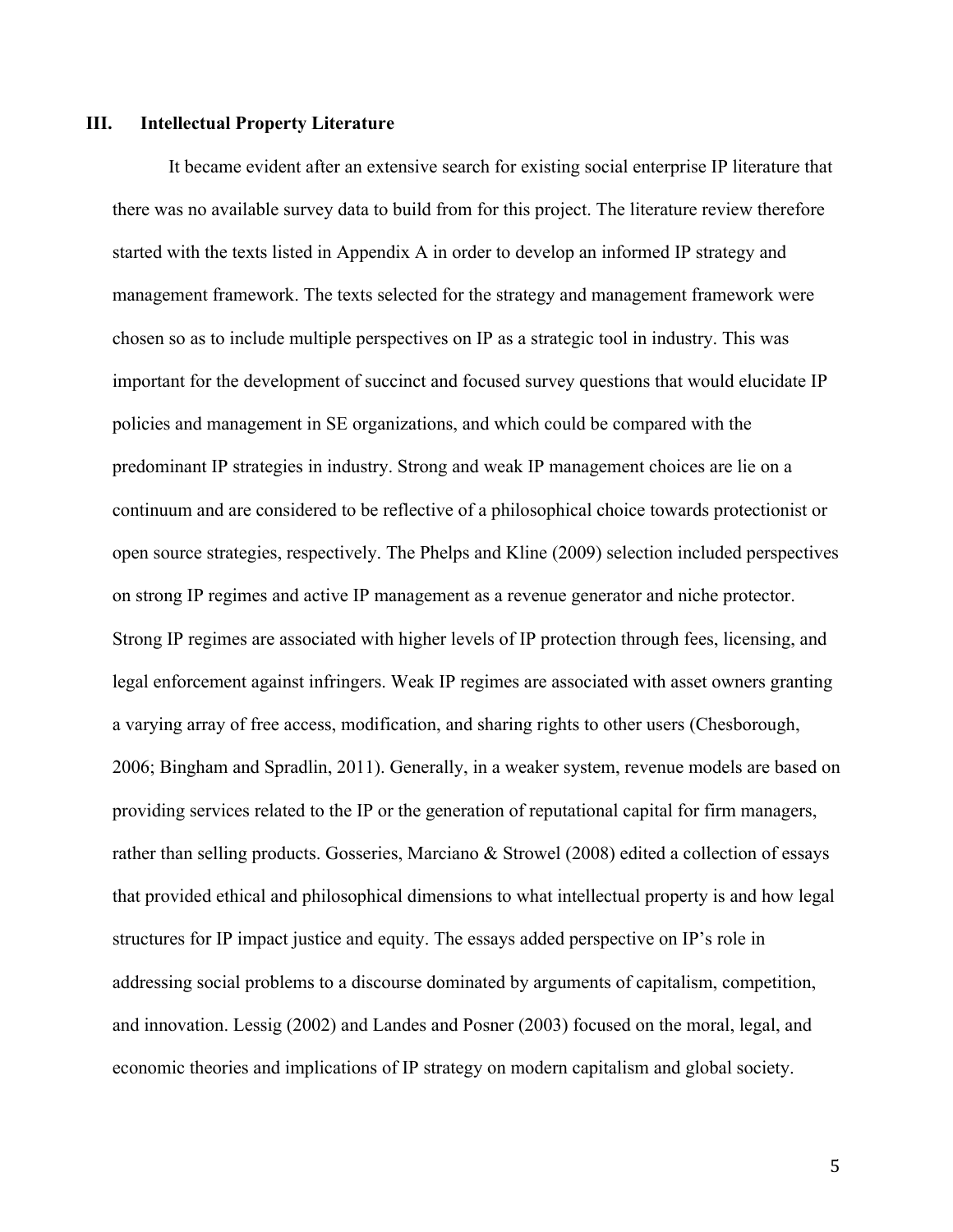# **III. Intellectual Property Literature**

It became evident after an extensive search for existing social enterprise IP literature that there was no available survey data to build from for this project. The literature review therefore started with the texts listed in Appendix A in order to develop an informed IP strategy and management framework. The texts selected for the strategy and management framework were chosen so as to include multiple perspectives on IP as a strategic tool in industry. This was important for the development of succinct and focused survey questions that would elucidate IP policies and management in SE organizations, and which could be compared with the predominant IP strategies in industry. Strong and weak IP management choices are lie on a continuum and are considered to be reflective of a philosophical choice towards protectionist or open source strategies, respectively. The Phelps and Kline (2009) selection included perspectives on strong IP regimes and active IP management as a revenue generator and niche protector. Strong IP regimes are associated with higher levels of IP protection through fees, licensing, and legal enforcement against infringers. Weak IP regimes are associated with asset owners granting a varying array of free access, modification, and sharing rights to other users (Chesborough, 2006; Bingham and Spradlin, 2011). Generally, in a weaker system, revenue models are based on providing services related to the IP or the generation of reputational capital for firm managers, rather than selling products. Gosseries, Marciano & Strowel (2008) edited a collection of essays that provided ethical and philosophical dimensions to what intellectual property is and how legal structures for IP impact justice and equity. The essays added perspective on IP's role in addressing social problems to a discourse dominated by arguments of capitalism, competition, and innovation. Lessig (2002) and Landes and Posner (2003) focused on the moral, legal, and economic theories and implications of IP strategy on modern capitalism and global society.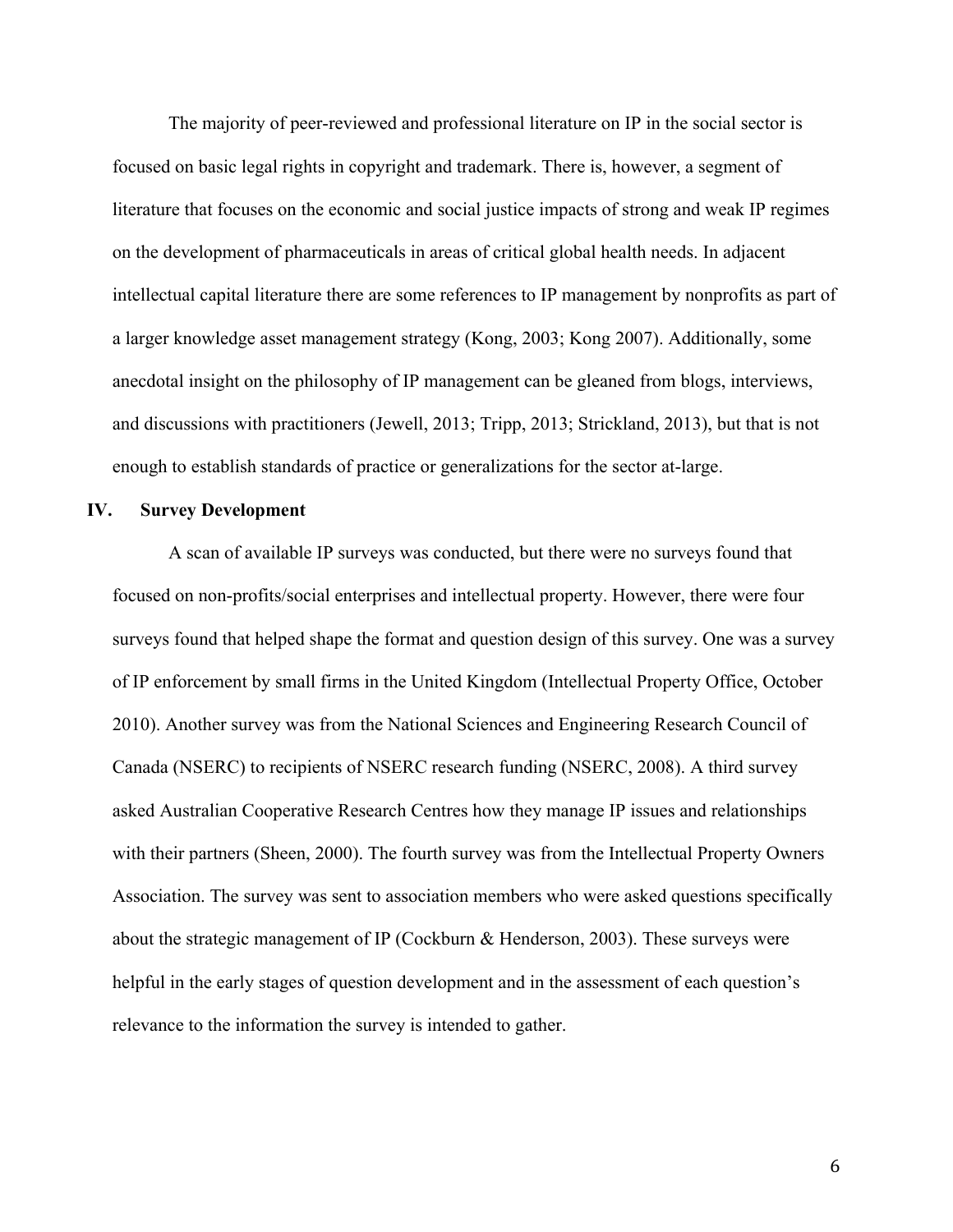The majority of peer-reviewed and professional literature on IP in the social sector is focused on basic legal rights in copyright and trademark. There is, however, a segment of literature that focuses on the economic and social justice impacts of strong and weak IP regimes on the development of pharmaceuticals in areas of critical global health needs. In adjacent intellectual capital literature there are some references to IP management by nonprofits as part of a larger knowledge asset management strategy (Kong, 2003; Kong 2007). Additionally, some anecdotal insight on the philosophy of IP management can be gleaned from blogs, interviews, and discussions with practitioners (Jewell, 2013; Tripp, 2013; Strickland, 2013), but that is not enough to establish standards of practice or generalizations for the sector at-large.

# **IV. Survey Development**

A scan of available IP surveys was conducted, but there were no surveys found that focused on non-profits/social enterprises and intellectual property. However, there were four surveys found that helped shape the format and question design of this survey. One was a survey of IP enforcement by small firms in the United Kingdom (Intellectual Property Office, October 2010). Another survey was from the National Sciences and Engineering Research Council of Canada (NSERC) to recipients of NSERC research funding (NSERC, 2008). A third survey asked Australian Cooperative Research Centres how they manage IP issues and relationships with their partners (Sheen, 2000). The fourth survey was from the Intellectual Property Owners Association. The survey was sent to association members who were asked questions specifically about the strategic management of IP (Cockburn & Henderson, 2003). These surveys were helpful in the early stages of question development and in the assessment of each question's relevance to the information the survey is intended to gather.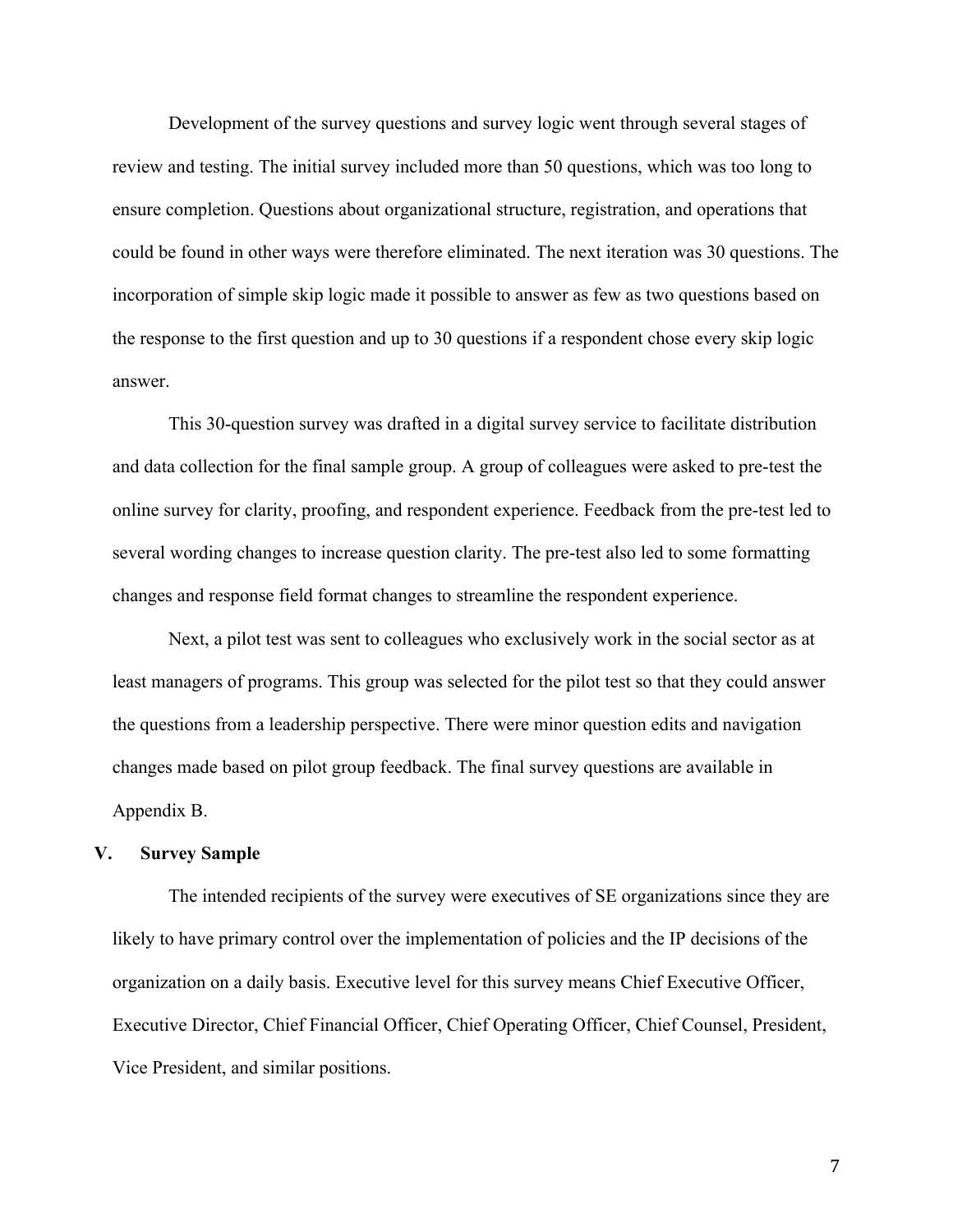Development of the survey questions and survey logic went through several stages of review and testing. The initial survey included more than 50 questions, which was too long to ensure completion. Questions about organizational structure, registration, and operations that could be found in other ways were therefore eliminated. The next iteration was 30 questions. The incorporation of simple skip logic made it possible to answer as few as two questions based on the response to the first question and up to 30 questions if a respondent chose every skip logic answer.

This 30-question survey was drafted in a digital survey service to facilitate distribution and data collection for the final sample group. A group of colleagues were asked to pre-test the online survey for clarity, proofing, and respondent experience. Feedback from the pre-test led to several wording changes to increase question clarity. The pre-test also led to some formatting changes and response field format changes to streamline the respondent experience.

Next, a pilot test was sent to colleagues who exclusively work in the social sector as at least managers of programs. This group was selected for the pilot test so that they could answer the questions from a leadership perspective. There were minor question edits and navigation changes made based on pilot group feedback. The final survey questions are available in Appendix B.

#### **V. Survey Sample**

The intended recipients of the survey were executives of SE organizations since they are likely to have primary control over the implementation of policies and the IP decisions of the organization on a daily basis. Executive level for this survey means Chief Executive Officer, Executive Director, Chief Financial Officer, Chief Operating Officer, Chief Counsel, President, Vice President, and similar positions.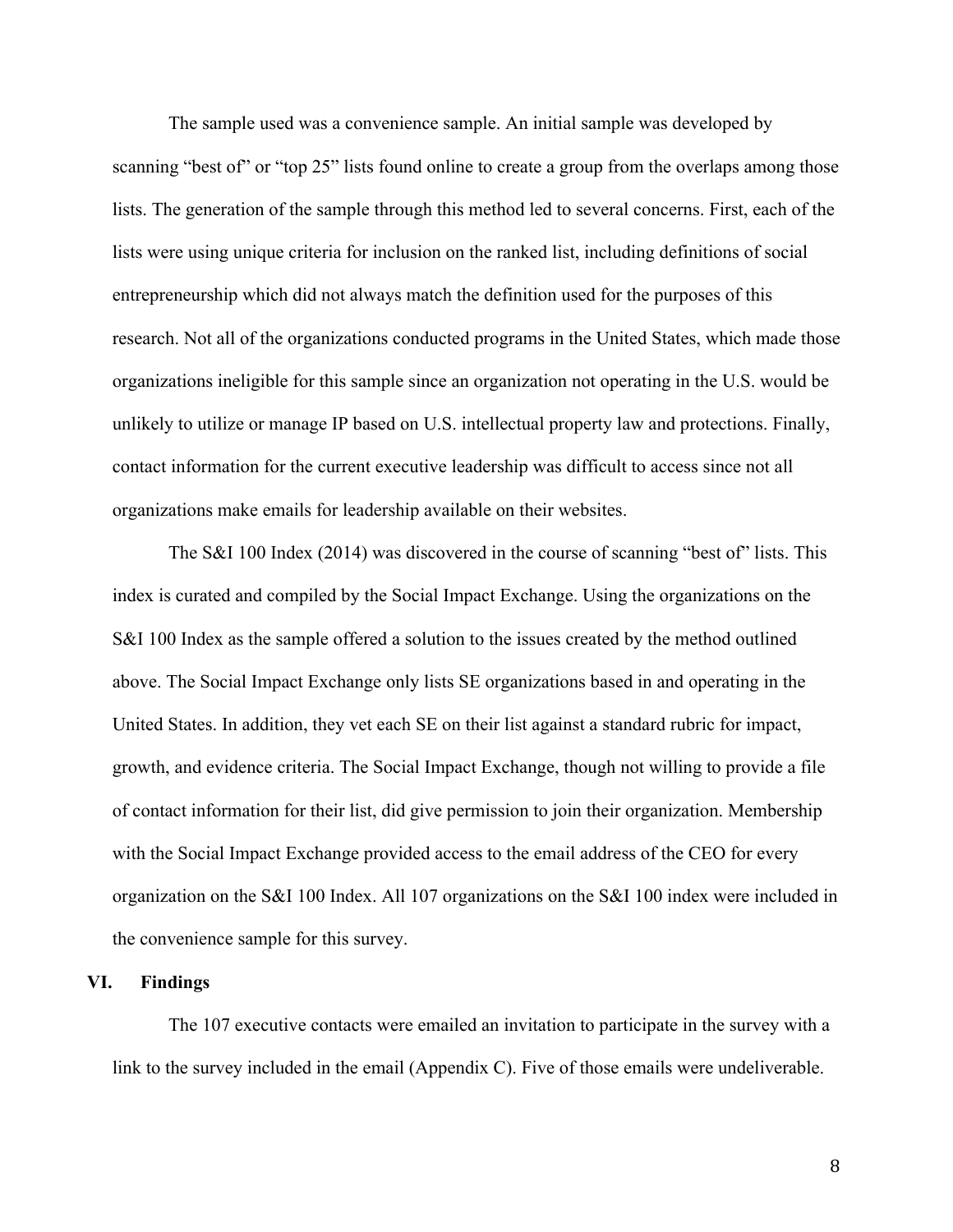The sample used was a convenience sample. An initial sample was developed by scanning "best of" or "top 25" lists found online to create a group from the overlaps among those lists. The generation of the sample through this method led to several concerns. First, each of the lists were using unique criteria for inclusion on the ranked list, including definitions of social entrepreneurship which did not always match the definition used for the purposes of this research. Not all of the organizations conducted programs in the United States, which made those organizations ineligible for this sample since an organization not operating in the U.S. would be unlikely to utilize or manage IP based on U.S. intellectual property law and protections. Finally, contact information for the current executive leadership was difficult to access since not all organizations make emails for leadership available on their websites.

The S&I 100 Index (2014) was discovered in the course of scanning "best of" lists. This index is curated and compiled by the Social Impact Exchange. Using the organizations on the S&I 100 Index as the sample offered a solution to the issues created by the method outlined above. The Social Impact Exchange only lists SE organizations based in and operating in the United States. In addition, they vet each SE on their list against a standard rubric for impact, growth, and evidence criteria. The Social Impact Exchange, though not willing to provide a file of contact information for their list, did give permission to join their organization. Membership with the Social Impact Exchange provided access to the email address of the CEO for every organization on the S&I 100 Index. All 107 organizations on the S&I 100 index were included in the convenience sample for this survey.

#### **VI. Findings**

The 107 executive contacts were emailed an invitation to participate in the survey with a link to the survey included in the email (Appendix C). Five of those emails were undeliverable.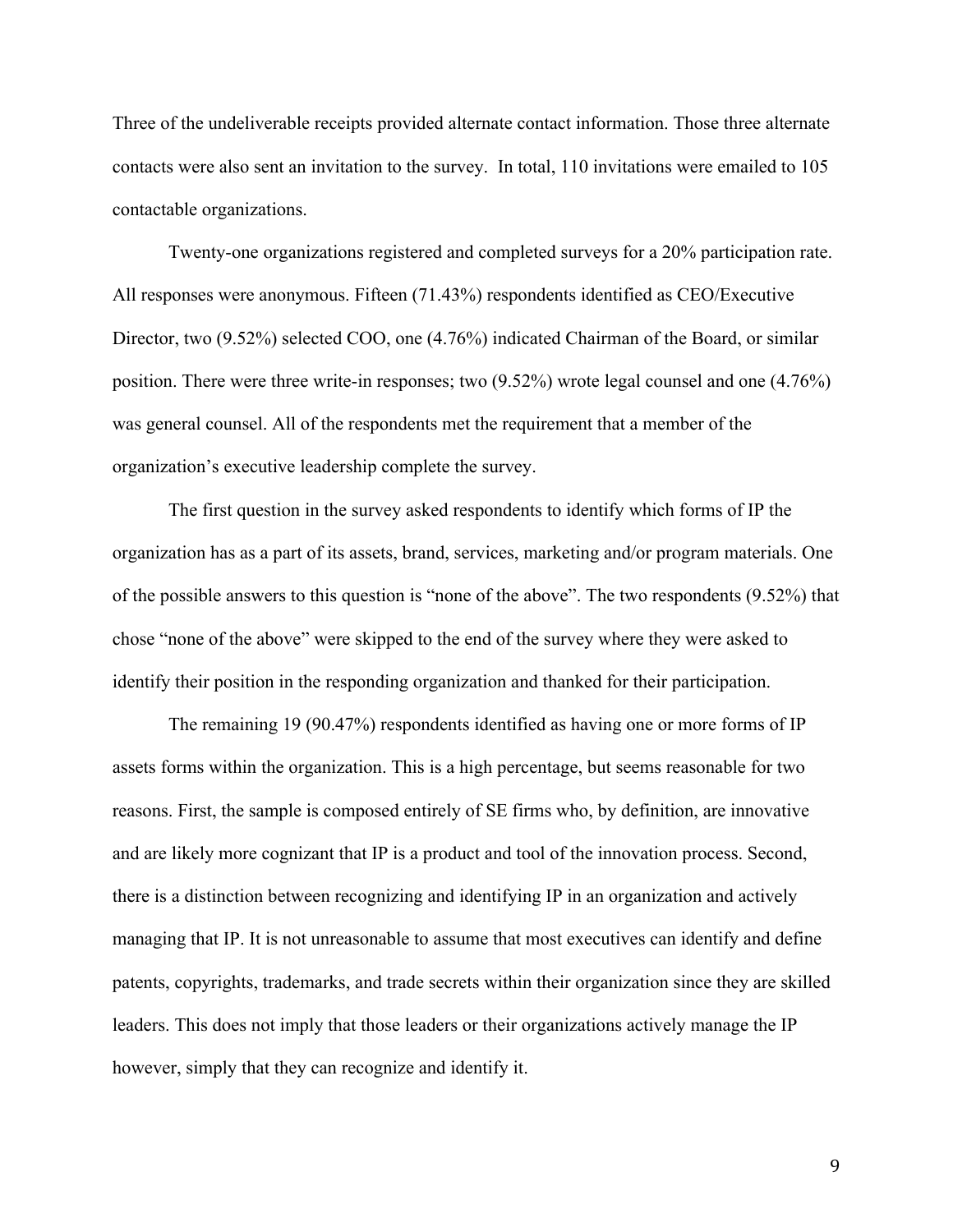Three of the undeliverable receipts provided alternate contact information. Those three alternate contacts were also sent an invitation to the survey. In total, 110 invitations were emailed to 105 contactable organizations.

Twenty-one organizations registered and completed surveys for a 20% participation rate. All responses were anonymous. Fifteen (71.43%) respondents identified as CEO/Executive Director, two (9.52%) selected COO, one (4.76%) indicated Chairman of the Board, or similar position. There were three write-in responses; two (9.52%) wrote legal counsel and one (4.76%) was general counsel. All of the respondents met the requirement that a member of the organization's executive leadership complete the survey.

The first question in the survey asked respondents to identify which forms of IP the organization has as a part of its assets, brand, services, marketing and/or program materials. One of the possible answers to this question is "none of the above". The two respondents (9.52%) that chose "none of the above" were skipped to the end of the survey where they were asked to identify their position in the responding organization and thanked for their participation.

The remaining 19 (90.47%) respondents identified as having one or more forms of IP assets forms within the organization. This is a high percentage, but seems reasonable for two reasons. First, the sample is composed entirely of SE firms who, by definition, are innovative and are likely more cognizant that IP is a product and tool of the innovation process. Second, there is a distinction between recognizing and identifying IP in an organization and actively managing that IP. It is not unreasonable to assume that most executives can identify and define patents, copyrights, trademarks, and trade secrets within their organization since they are skilled leaders. This does not imply that those leaders or their organizations actively manage the IP however, simply that they can recognize and identify it.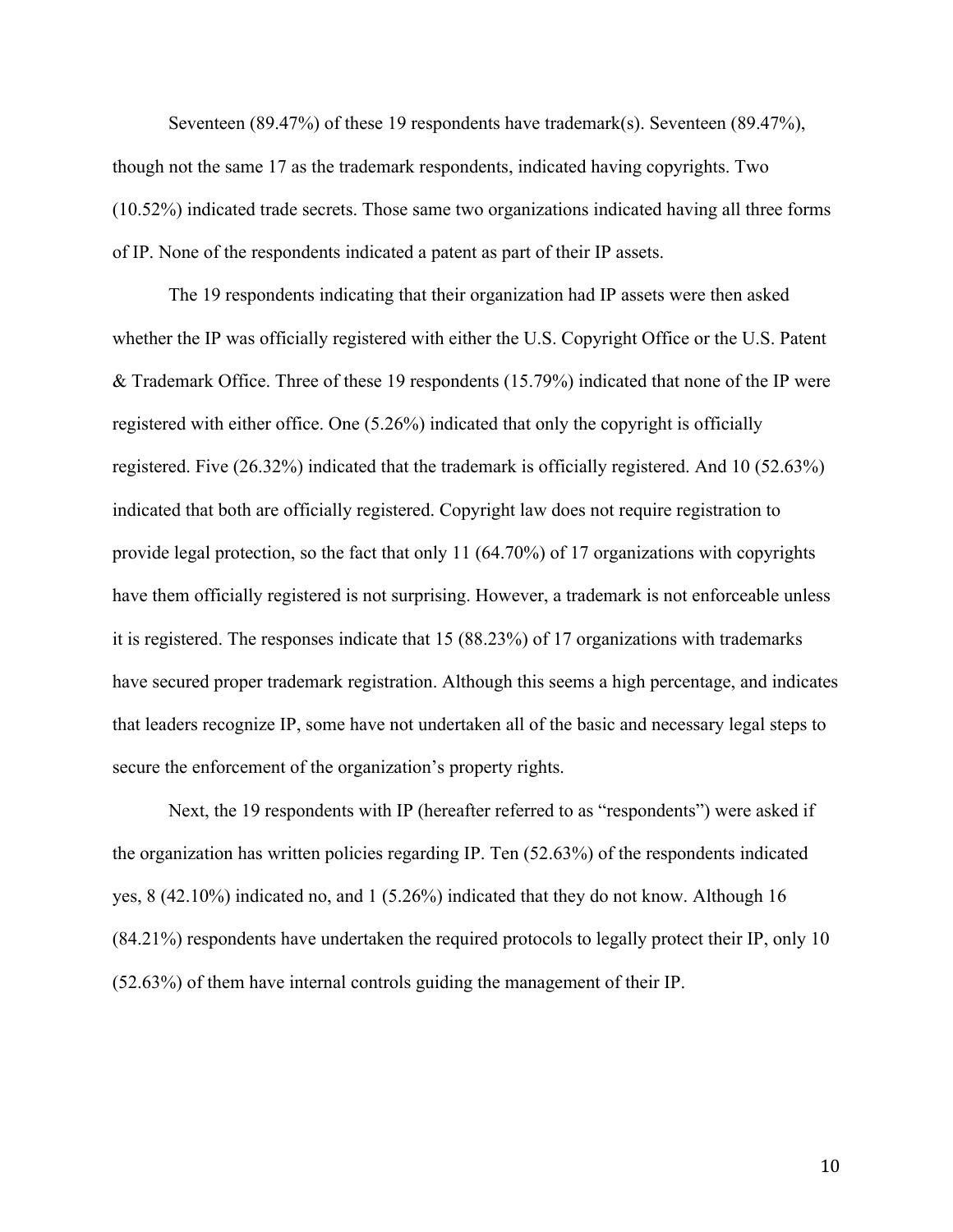Seventeen (89.47%) of these 19 respondents have trademark(s). Seventeen (89.47%), though not the same 17 as the trademark respondents, indicated having copyrights. Two (10.52%) indicated trade secrets. Those same two organizations indicated having all three forms of IP. None of the respondents indicated a patent as part of their IP assets.

The 19 respondents indicating that their organization had IP assets were then asked whether the IP was officially registered with either the U.S. Copyright Office or the U.S. Patent & Trademark Office. Three of these 19 respondents (15.79%) indicated that none of the IP were registered with either office. One (5.26%) indicated that only the copyright is officially registered. Five (26.32%) indicated that the trademark is officially registered. And 10 (52.63%) indicated that both are officially registered. Copyright law does not require registration to provide legal protection, so the fact that only 11 (64.70%) of 17 organizations with copyrights have them officially registered is not surprising. However, a trademark is not enforceable unless it is registered. The responses indicate that 15 (88.23%) of 17 organizations with trademarks have secured proper trademark registration. Although this seems a high percentage, and indicates that leaders recognize IP, some have not undertaken all of the basic and necessary legal steps to secure the enforcement of the organization's property rights.

Next, the 19 respondents with IP (hereafter referred to as "respondents") were asked if the organization has written policies regarding IP. Ten (52.63%) of the respondents indicated yes, 8 (42.10%) indicated no, and 1 (5.26%) indicated that they do not know. Although 16 (84.21%) respondents have undertaken the required protocols to legally protect their IP, only 10 (52.63%) of them have internal controls guiding the management of their IP.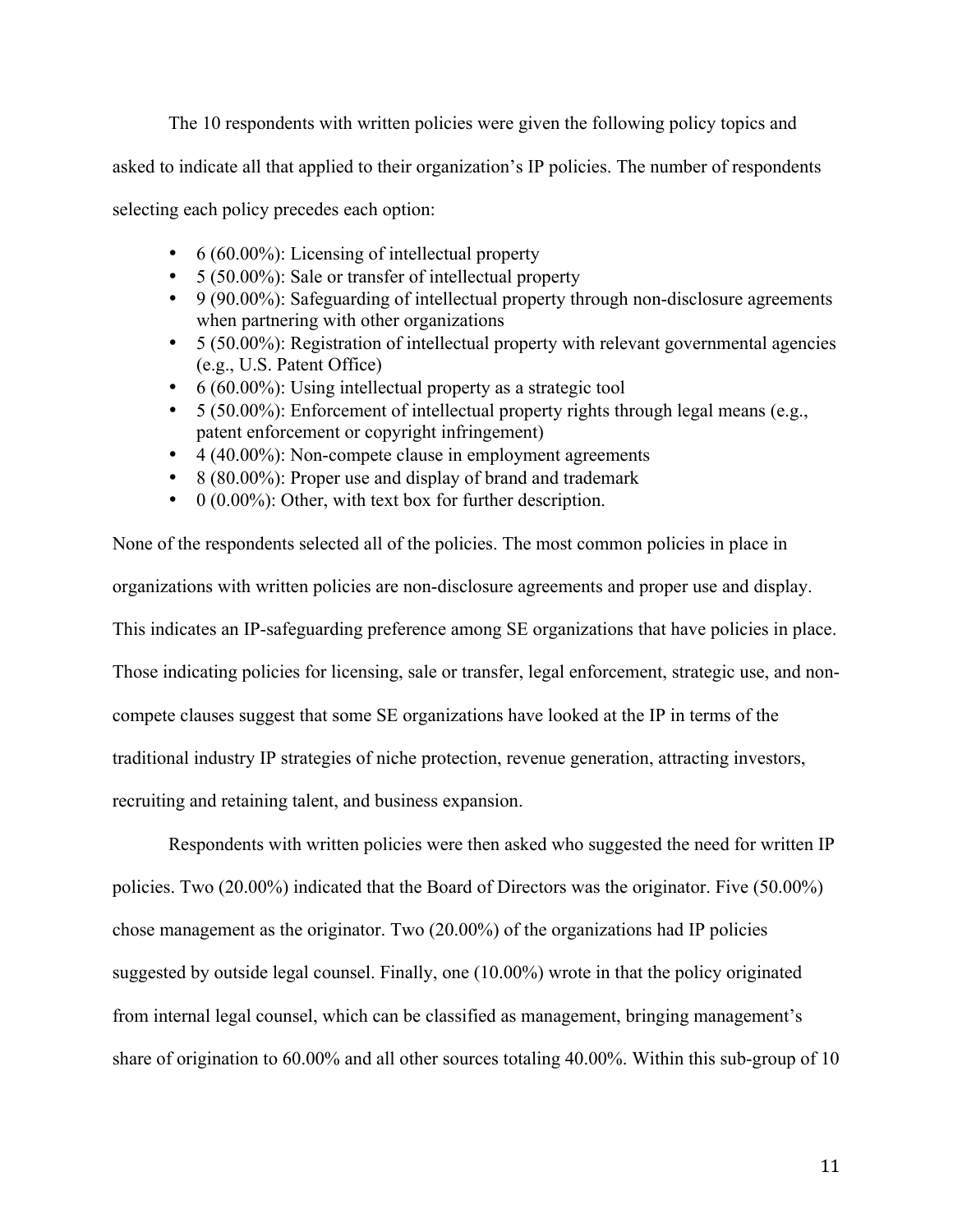The 10 respondents with written policies were given the following policy topics and

asked to indicate all that applied to their organization's IP policies. The number of respondents

selecting each policy precedes each option:

- 6 (60.00%): Licensing of intellectual property
- 5 (50.00%): Sale or transfer of intellectual property
- 9 (90.00%): Safeguarding of intellectual property through non-disclosure agreements when partnering with other organizations
- 5 (50.00%): Registration of intellectual property with relevant governmental agencies (e.g., U.S. Patent Office)
- 6 (60.00%): Using intellectual property as a strategic tool
- $\bullet$  5 (50.00%): Enforcement of intellectual property rights through legal means (e.g., patent enforcement or copyright infringement)
- 4 (40.00%): Non-compete clause in employment agreements
- 8 (80.00%): Proper use and display of brand and trademark
- $\bullet$  0 (0.00%): Other, with text box for further description.

None of the respondents selected all of the policies. The most common policies in place in organizations with written policies are non-disclosure agreements and proper use and display. This indicates an IP-safeguarding preference among SE organizations that have policies in place. Those indicating policies for licensing, sale or transfer, legal enforcement, strategic use, and noncompete clauses suggest that some SE organizations have looked at the IP in terms of the traditional industry IP strategies of niche protection, revenue generation, attracting investors, recruiting and retaining talent, and business expansion.

Respondents with written policies were then asked who suggested the need for written IP policies. Two (20.00%) indicated that the Board of Directors was the originator. Five (50.00%) chose management as the originator. Two (20.00%) of the organizations had IP policies suggested by outside legal counsel. Finally, one (10.00%) wrote in that the policy originated from internal legal counsel, which can be classified as management, bringing management's share of origination to 60.00% and all other sources totaling 40.00%. Within this sub-group of 10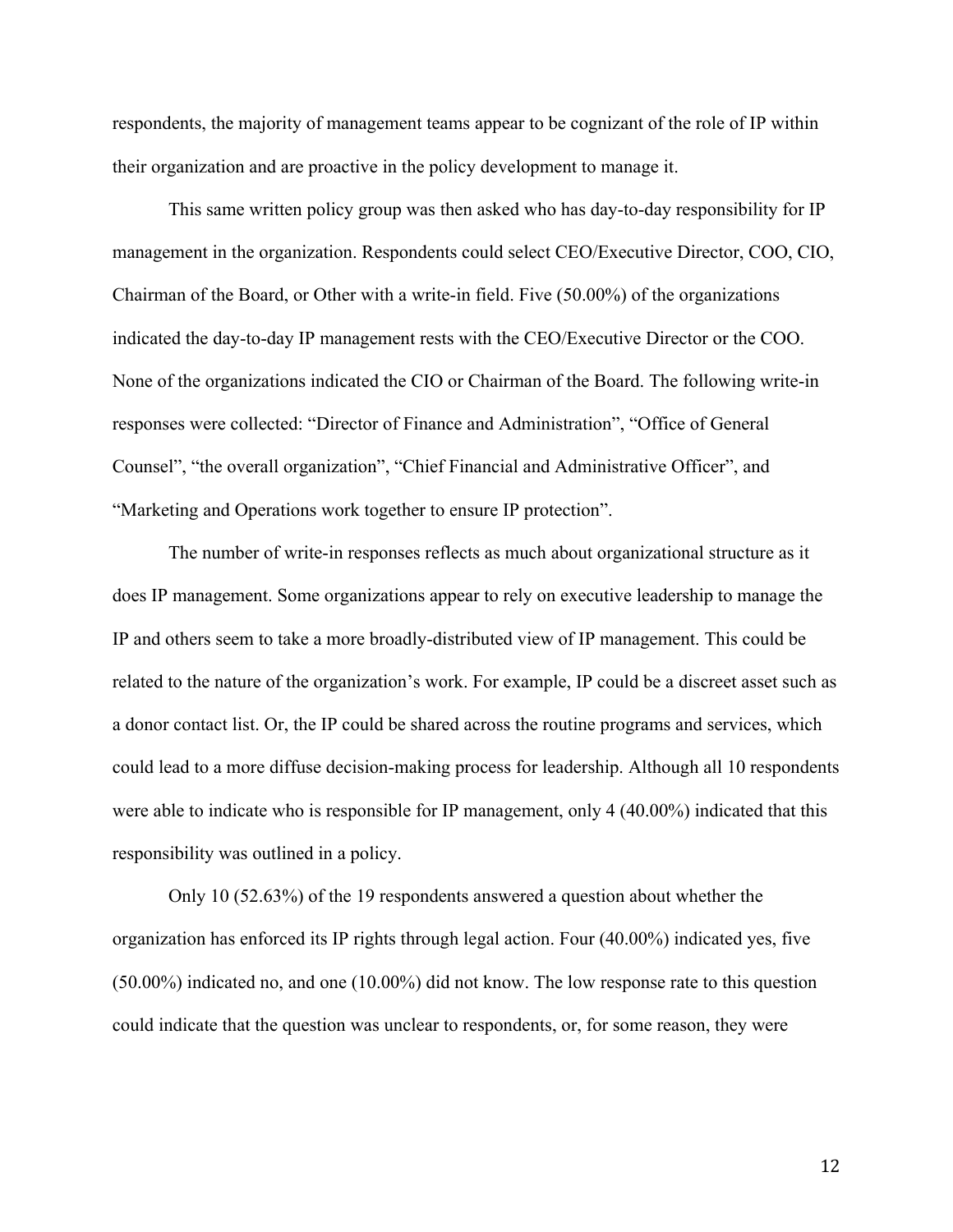respondents, the majority of management teams appear to be cognizant of the role of IP within their organization and are proactive in the policy development to manage it.

This same written policy group was then asked who has day-to-day responsibility for IP management in the organization. Respondents could select CEO/Executive Director, COO, CIO, Chairman of the Board, or Other with a write-in field. Five (50.00%) of the organizations indicated the day-to-day IP management rests with the CEO/Executive Director or the COO. None of the organizations indicated the CIO or Chairman of the Board. The following write-in responses were collected: "Director of Finance and Administration", "Office of General Counsel", "the overall organization", "Chief Financial and Administrative Officer", and "Marketing and Operations work together to ensure IP protection".

The number of write-in responses reflects as much about organizational structure as it does IP management. Some organizations appear to rely on executive leadership to manage the IP and others seem to take a more broadly-distributed view of IP management. This could be related to the nature of the organization's work. For example, IP could be a discreet asset such as a donor contact list. Or, the IP could be shared across the routine programs and services, which could lead to a more diffuse decision-making process for leadership. Although all 10 respondents were able to indicate who is responsible for IP management, only 4 (40.00%) indicated that this responsibility was outlined in a policy.

Only 10 (52.63%) of the 19 respondents answered a question about whether the organization has enforced its IP rights through legal action. Four (40.00%) indicated yes, five (50.00%) indicated no, and one (10.00%) did not know. The low response rate to this question could indicate that the question was unclear to respondents, or, for some reason, they were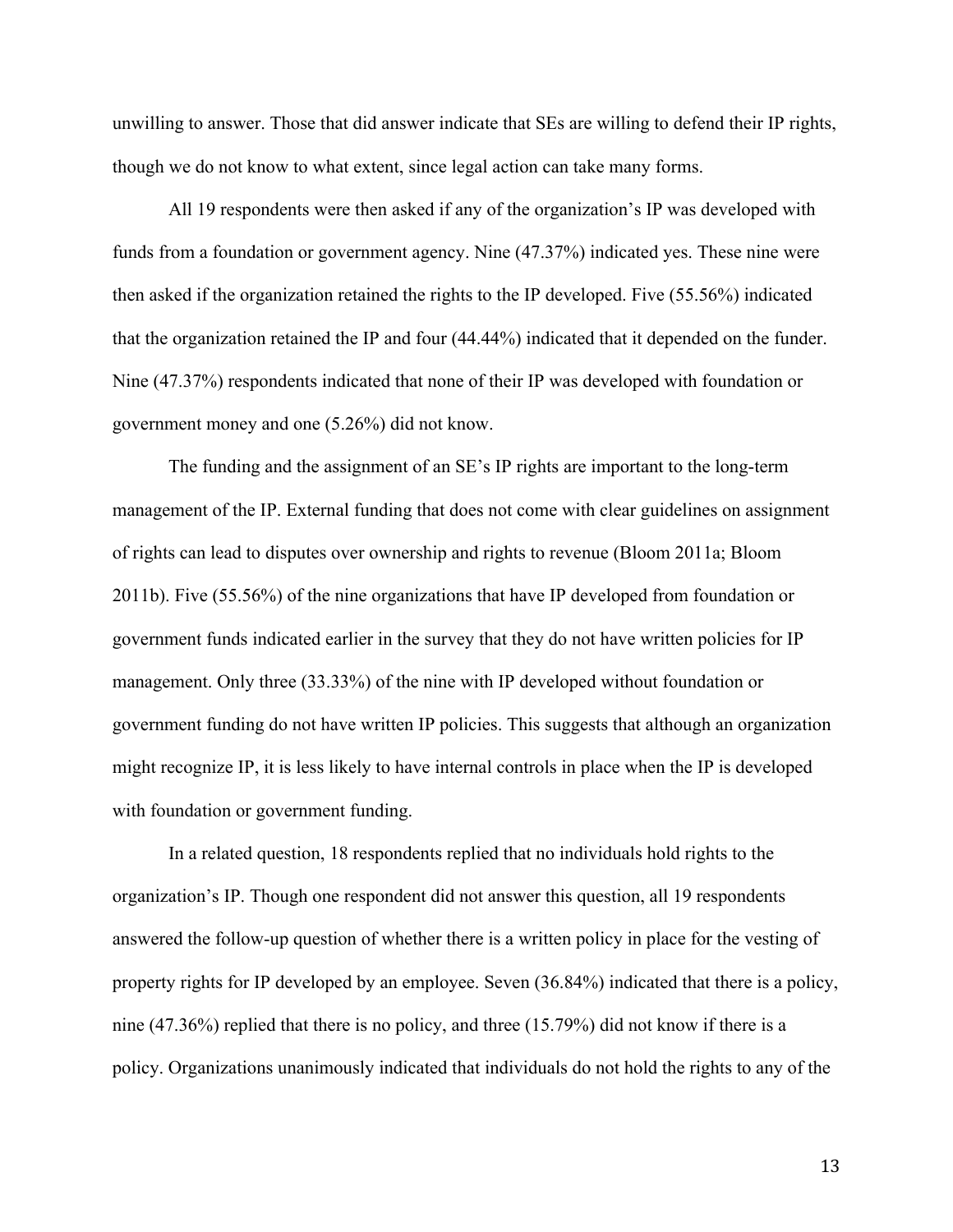unwilling to answer. Those that did answer indicate that SEs are willing to defend their IP rights, though we do not know to what extent, since legal action can take many forms.

All 19 respondents were then asked if any of the organization's IP was developed with funds from a foundation or government agency. Nine (47.37%) indicated yes. These nine were then asked if the organization retained the rights to the IP developed. Five (55.56%) indicated that the organization retained the IP and four (44.44%) indicated that it depended on the funder. Nine (47.37%) respondents indicated that none of their IP was developed with foundation or government money and one (5.26%) did not know.

The funding and the assignment of an SE's IP rights are important to the long-term management of the IP. External funding that does not come with clear guidelines on assignment of rights can lead to disputes over ownership and rights to revenue (Bloom 2011a; Bloom 2011b). Five (55.56%) of the nine organizations that have IP developed from foundation or government funds indicated earlier in the survey that they do not have written policies for IP management. Only three (33.33%) of the nine with IP developed without foundation or government funding do not have written IP policies. This suggests that although an organization might recognize IP, it is less likely to have internal controls in place when the IP is developed with foundation or government funding.

In a related question, 18 respondents replied that no individuals hold rights to the organization's IP. Though one respondent did not answer this question, all 19 respondents answered the follow-up question of whether there is a written policy in place for the vesting of property rights for IP developed by an employee. Seven (36.84%) indicated that there is a policy, nine (47.36%) replied that there is no policy, and three (15.79%) did not know if there is a policy. Organizations unanimously indicated that individuals do not hold the rights to any of the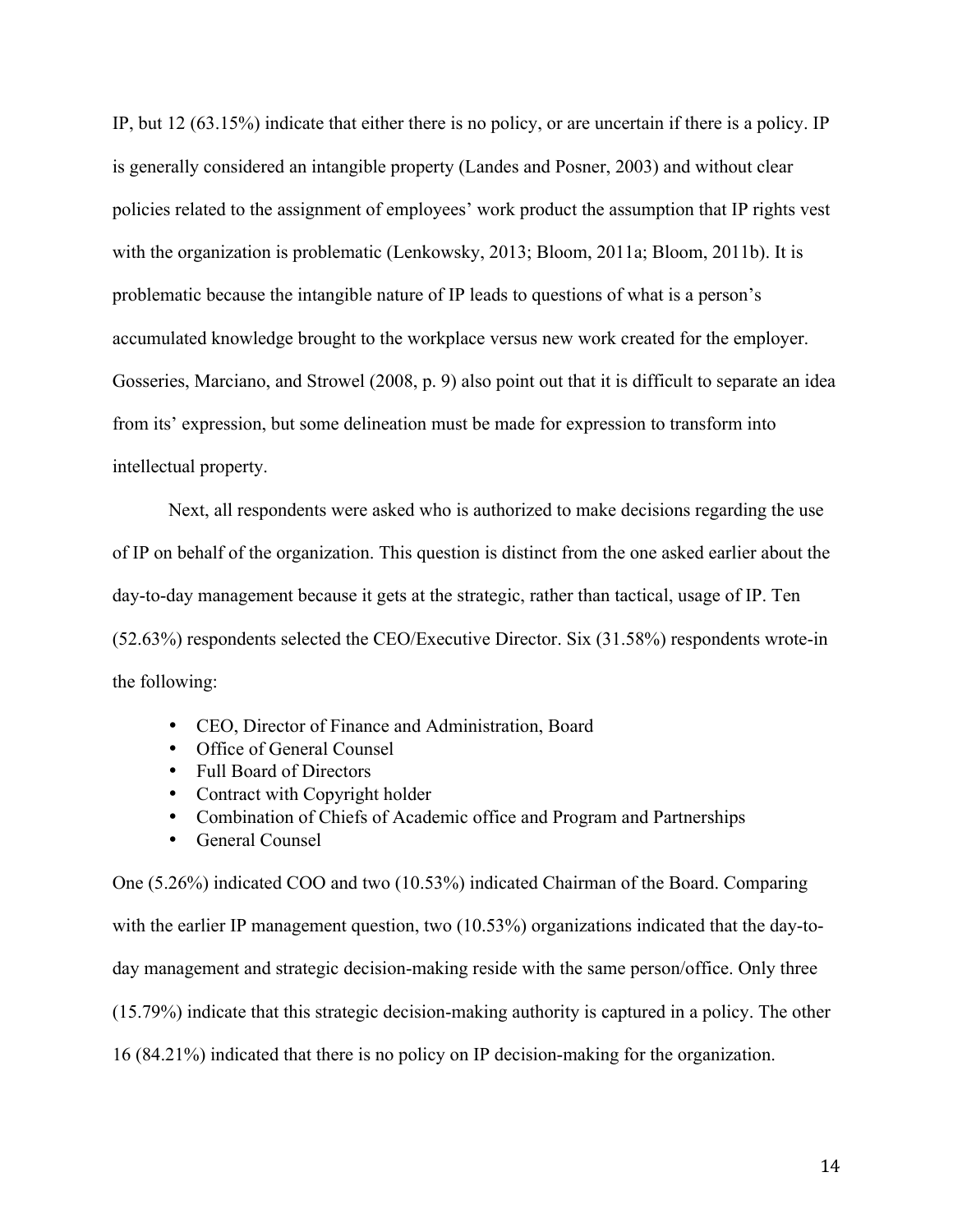IP, but 12 (63.15%) indicate that either there is no policy, or are uncertain if there is a policy. IP is generally considered an intangible property (Landes and Posner, 2003) and without clear policies related to the assignment of employees' work product the assumption that IP rights vest with the organization is problematic (Lenkowsky, 2013; Bloom, 2011a; Bloom, 2011b). It is problematic because the intangible nature of IP leads to questions of what is a person's accumulated knowledge brought to the workplace versus new work created for the employer. Gosseries, Marciano, and Strowel (2008, p. 9) also point out that it is difficult to separate an idea from its' expression, but some delineation must be made for expression to transform into intellectual property.

Next, all respondents were asked who is authorized to make decisions regarding the use of IP on behalf of the organization. This question is distinct from the one asked earlier about the day-to-day management because it gets at the strategic, rather than tactical, usage of IP. Ten (52.63%) respondents selected the CEO/Executive Director. Six (31.58%) respondents wrote-in the following:

- CEO, Director of Finance and Administration, Board
- Office of General Counsel
- Full Board of Directors
- Contract with Copyright holder
- Combination of Chiefs of Academic office and Program and Partnerships
- General Counsel

One (5.26%) indicated COO and two (10.53%) indicated Chairman of the Board. Comparing with the earlier IP management question, two (10.53%) organizations indicated that the day-today management and strategic decision-making reside with the same person/office. Only three (15.79%) indicate that this strategic decision-making authority is captured in a policy. The other 16 (84.21%) indicated that there is no policy on IP decision-making for the organization.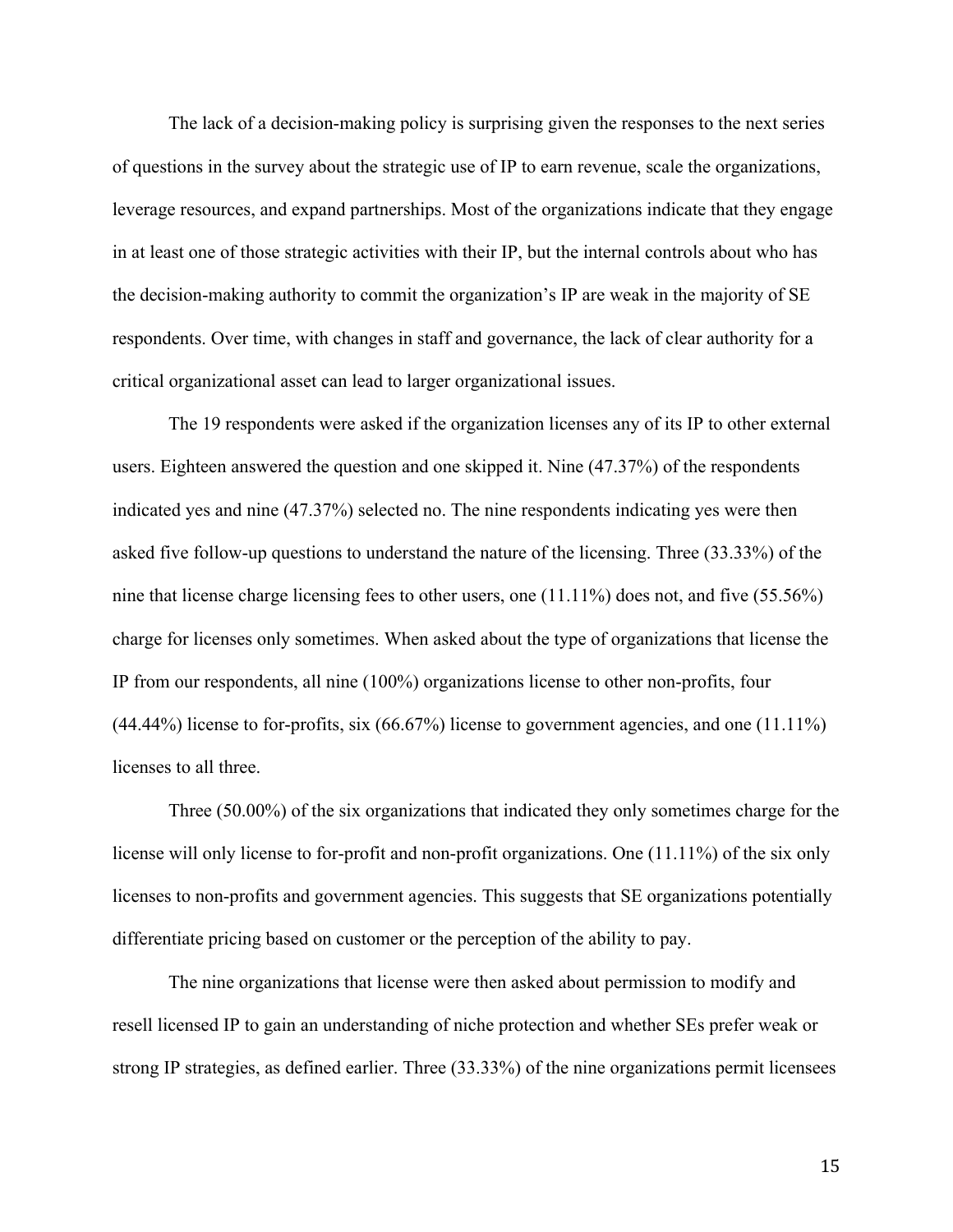The lack of a decision-making policy is surprising given the responses to the next series of questions in the survey about the strategic use of IP to earn revenue, scale the organizations, leverage resources, and expand partnerships. Most of the organizations indicate that they engage in at least one of those strategic activities with their IP, but the internal controls about who has the decision-making authority to commit the organization's IP are weak in the majority of SE respondents. Over time, with changes in staff and governance, the lack of clear authority for a critical organizational asset can lead to larger organizational issues.

The 19 respondents were asked if the organization licenses any of its IP to other external users. Eighteen answered the question and one skipped it. Nine (47.37%) of the respondents indicated yes and nine (47.37%) selected no. The nine respondents indicating yes were then asked five follow-up questions to understand the nature of the licensing. Three (33.33%) of the nine that license charge licensing fees to other users, one (11.11%) does not, and five (55.56%) charge for licenses only sometimes. When asked about the type of organizations that license the IP from our respondents, all nine (100%) organizations license to other non-profits, four (44.44%) license to for-profits, six (66.67%) license to government agencies, and one (11.11%) licenses to all three.

Three (50.00%) of the six organizations that indicated they only sometimes charge for the license will only license to for-profit and non-profit organizations. One (11.11%) of the six only licenses to non-profits and government agencies. This suggests that SE organizations potentially differentiate pricing based on customer or the perception of the ability to pay.

The nine organizations that license were then asked about permission to modify and resell licensed IP to gain an understanding of niche protection and whether SEs prefer weak or strong IP strategies, as defined earlier. Three (33.33%) of the nine organizations permit licensees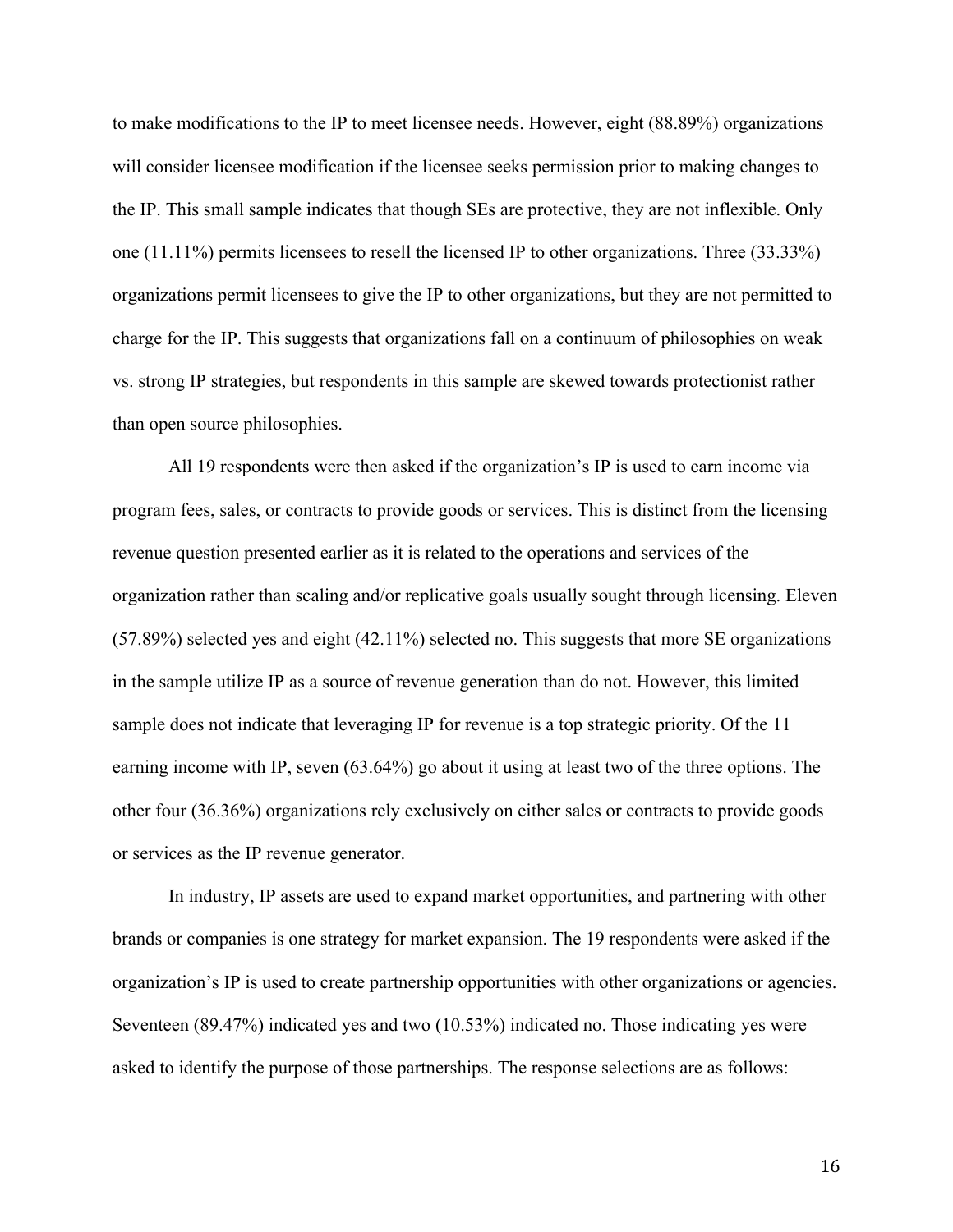to make modifications to the IP to meet licensee needs. However, eight (88.89%) organizations will consider licensee modification if the licensee seeks permission prior to making changes to the IP. This small sample indicates that though SEs are protective, they are not inflexible. Only one (11.11%) permits licensees to resell the licensed IP to other organizations. Three (33.33%) organizations permit licensees to give the IP to other organizations, but they are not permitted to charge for the IP. This suggests that organizations fall on a continuum of philosophies on weak vs. strong IP strategies, but respondents in this sample are skewed towards protectionist rather than open source philosophies.

All 19 respondents were then asked if the organization's IP is used to earn income via program fees, sales, or contracts to provide goods or services. This is distinct from the licensing revenue question presented earlier as it is related to the operations and services of the organization rather than scaling and/or replicative goals usually sought through licensing. Eleven (57.89%) selected yes and eight (42.11%) selected no. This suggests that more SE organizations in the sample utilize IP as a source of revenue generation than do not. However, this limited sample does not indicate that leveraging IP for revenue is a top strategic priority. Of the 11 earning income with IP, seven (63.64%) go about it using at least two of the three options. The other four (36.36%) organizations rely exclusively on either sales or contracts to provide goods or services as the IP revenue generator.

In industry, IP assets are used to expand market opportunities, and partnering with other brands or companies is one strategy for market expansion. The 19 respondents were asked if the organization's IP is used to create partnership opportunities with other organizations or agencies. Seventeen (89.47%) indicated yes and two (10.53%) indicated no. Those indicating yes were asked to identify the purpose of those partnerships. The response selections are as follows: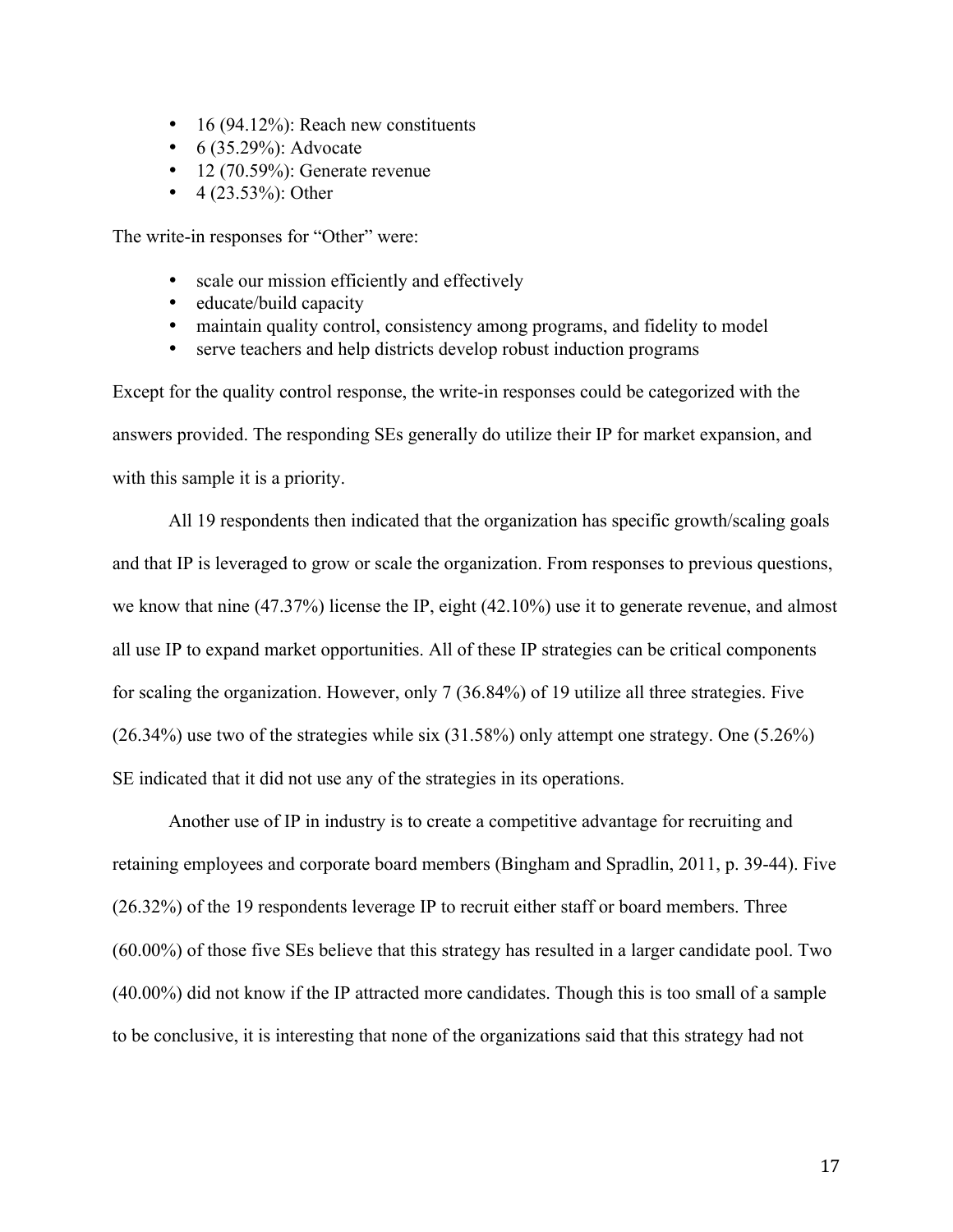- 16 (94.12%): Reach new constituents
- $6(35.29\%)$ : Advocate
- 12 (70.59%): Generate revenue
- $4 (23.53\%)$ : Other

The write-in responses for "Other" were:

- scale our mission efficiently and effectively
- educate/build capacity
- maintain quality control, consistency among programs, and fidelity to model
- serve teachers and help districts develop robust induction programs

Except for the quality control response, the write-in responses could be categorized with the answers provided. The responding SEs generally do utilize their IP for market expansion, and with this sample it is a priority.

All 19 respondents then indicated that the organization has specific growth/scaling goals and that IP is leveraged to grow or scale the organization. From responses to previous questions, we know that nine (47.37%) license the IP, eight (42.10%) use it to generate revenue, and almost all use IP to expand market opportunities. All of these IP strategies can be critical components for scaling the organization. However, only 7 (36.84%) of 19 utilize all three strategies. Five (26.34%) use two of the strategies while six (31.58%) only attempt one strategy. One (5.26%) SE indicated that it did not use any of the strategies in its operations.

Another use of IP in industry is to create a competitive advantage for recruiting and retaining employees and corporate board members (Bingham and Spradlin, 2011, p. 39-44). Five (26.32%) of the 19 respondents leverage IP to recruit either staff or board members. Three (60.00%) of those five SEs believe that this strategy has resulted in a larger candidate pool. Two (40.00%) did not know if the IP attracted more candidates. Though this is too small of a sample to be conclusive, it is interesting that none of the organizations said that this strategy had not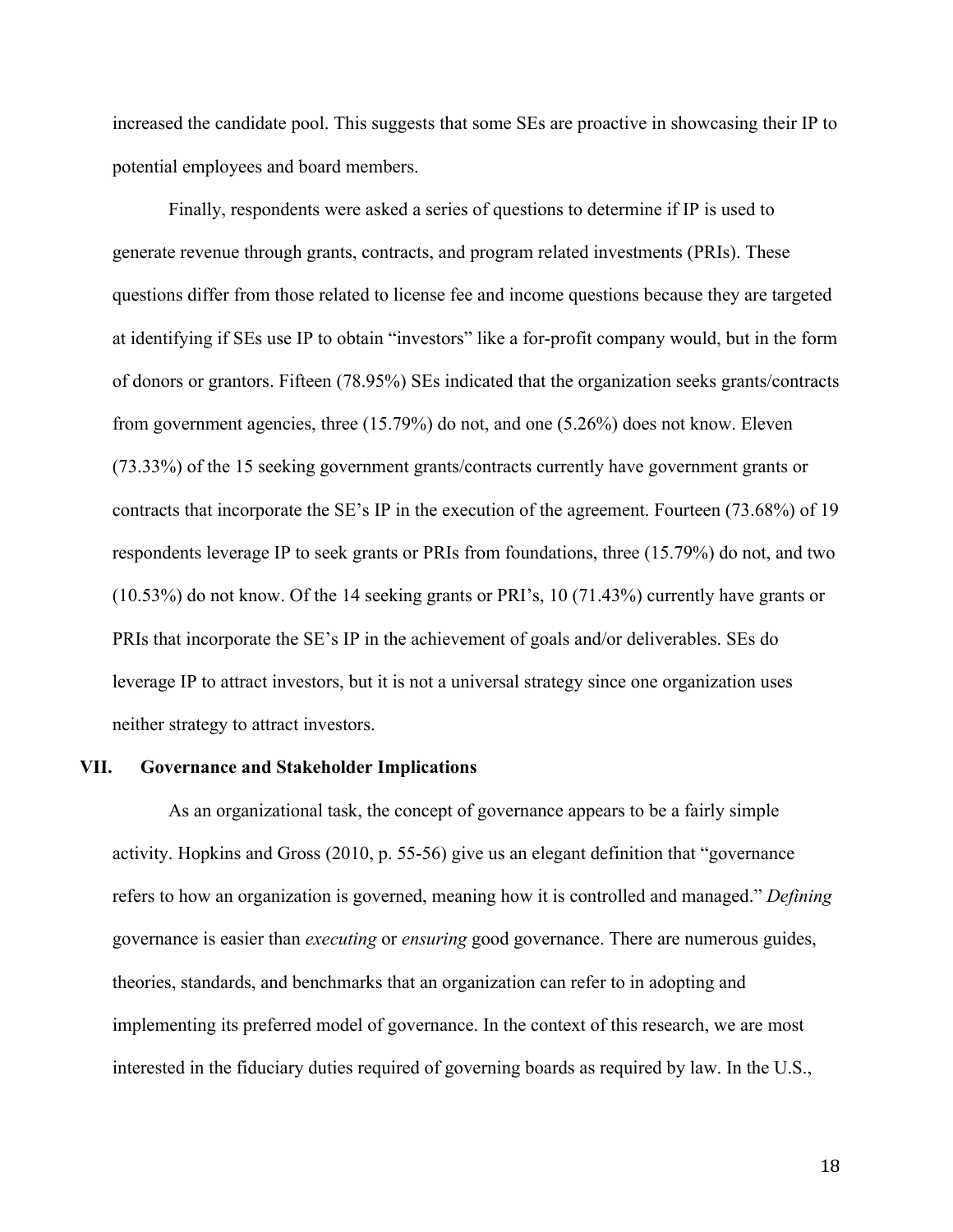increased the candidate pool. This suggests that some SEs are proactive in showcasing their IP to potential employees and board members.

Finally, respondents were asked a series of questions to determine if IP is used to generate revenue through grants, contracts, and program related investments (PRIs). These questions differ from those related to license fee and income questions because they are targeted at identifying if SEs use IP to obtain "investors" like a for-profit company would, but in the form of donors or grantors. Fifteen (78.95%) SEs indicated that the organization seeks grants/contracts from government agencies, three (15.79%) do not, and one (5.26%) does not know. Eleven (73.33%) of the 15 seeking government grants/contracts currently have government grants or contracts that incorporate the SE's IP in the execution of the agreement. Fourteen (73.68%) of 19 respondents leverage IP to seek grants or PRIs from foundations, three (15.79%) do not, and two (10.53%) do not know. Of the 14 seeking grants or PRI's, 10 (71.43%) currently have grants or PRIs that incorporate the SE's IP in the achievement of goals and/or deliverables. SEs do leverage IP to attract investors, but it is not a universal strategy since one organization uses neither strategy to attract investors.

# **VII. Governance and Stakeholder Implications**

As an organizational task, the concept of governance appears to be a fairly simple activity. Hopkins and Gross (2010, p. 55-56) give us an elegant definition that "governance refers to how an organization is governed, meaning how it is controlled and managed." *Defining* governance is easier than *executing* or *ensuring* good governance. There are numerous guides, theories, standards, and benchmarks that an organization can refer to in adopting and implementing its preferred model of governance. In the context of this research, we are most interested in the fiduciary duties required of governing boards as required by law. In the U.S.,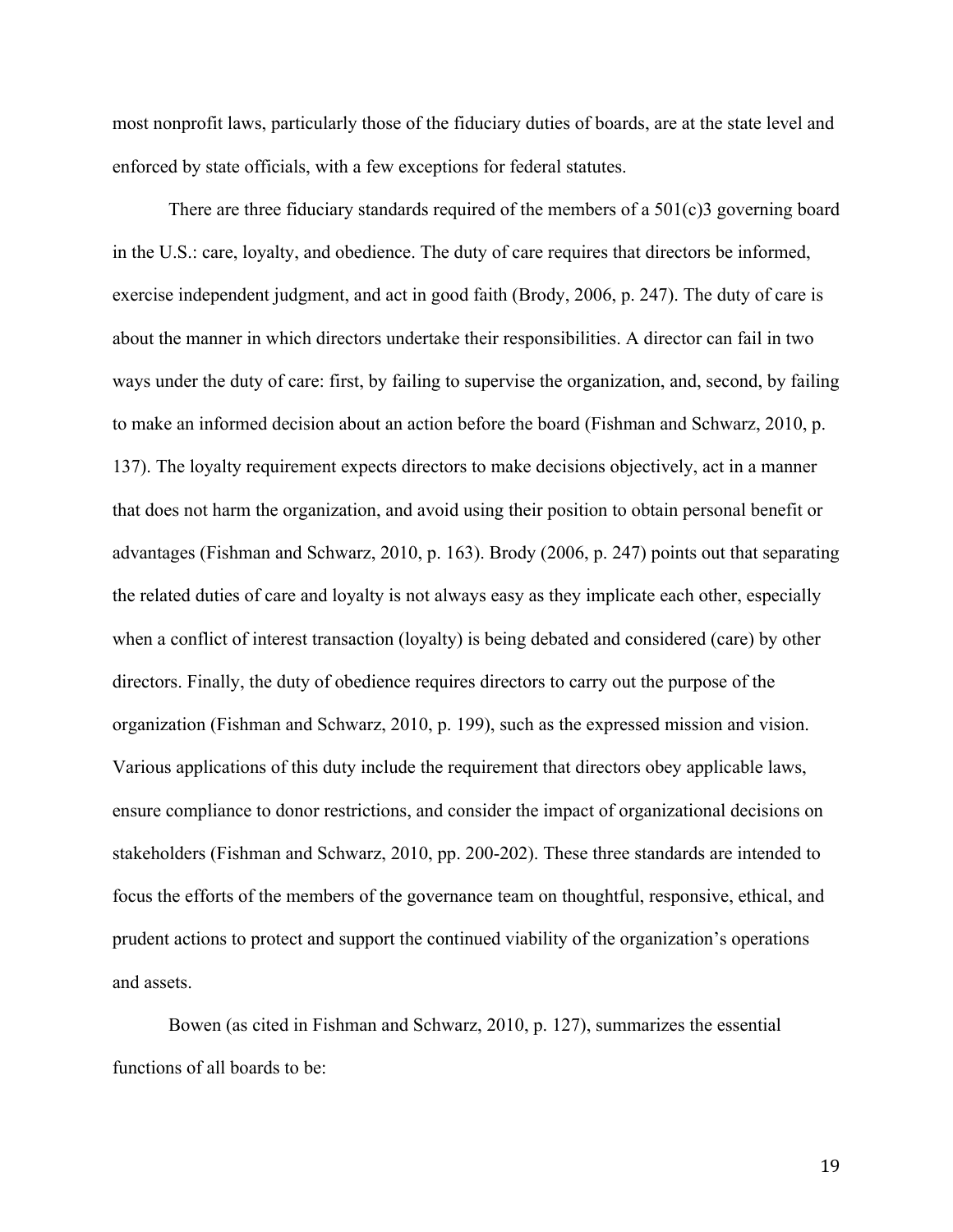most nonprofit laws, particularly those of the fiduciary duties of boards, are at the state level and enforced by state officials, with a few exceptions for federal statutes.

There are three fiduciary standards required of the members of a 501(c)3 governing board in the U.S.: care, loyalty, and obedience. The duty of care requires that directors be informed, exercise independent judgment, and act in good faith (Brody, 2006, p. 247). The duty of care is about the manner in which directors undertake their responsibilities. A director can fail in two ways under the duty of care: first, by failing to supervise the organization, and, second, by failing to make an informed decision about an action before the board (Fishman and Schwarz, 2010, p. 137). The loyalty requirement expects directors to make decisions objectively, act in a manner that does not harm the organization, and avoid using their position to obtain personal benefit or advantages (Fishman and Schwarz, 2010, p. 163). Brody (2006, p. 247) points out that separating the related duties of care and loyalty is not always easy as they implicate each other, especially when a conflict of interest transaction (loyalty) is being debated and considered (care) by other directors. Finally, the duty of obedience requires directors to carry out the purpose of the organization (Fishman and Schwarz, 2010, p. 199), such as the expressed mission and vision. Various applications of this duty include the requirement that directors obey applicable laws, ensure compliance to donor restrictions, and consider the impact of organizational decisions on stakeholders (Fishman and Schwarz, 2010, pp. 200-202). These three standards are intended to focus the efforts of the members of the governance team on thoughtful, responsive, ethical, and prudent actions to protect and support the continued viability of the organization's operations and assets.

Bowen (as cited in Fishman and Schwarz, 2010, p. 127), summarizes the essential functions of all boards to be: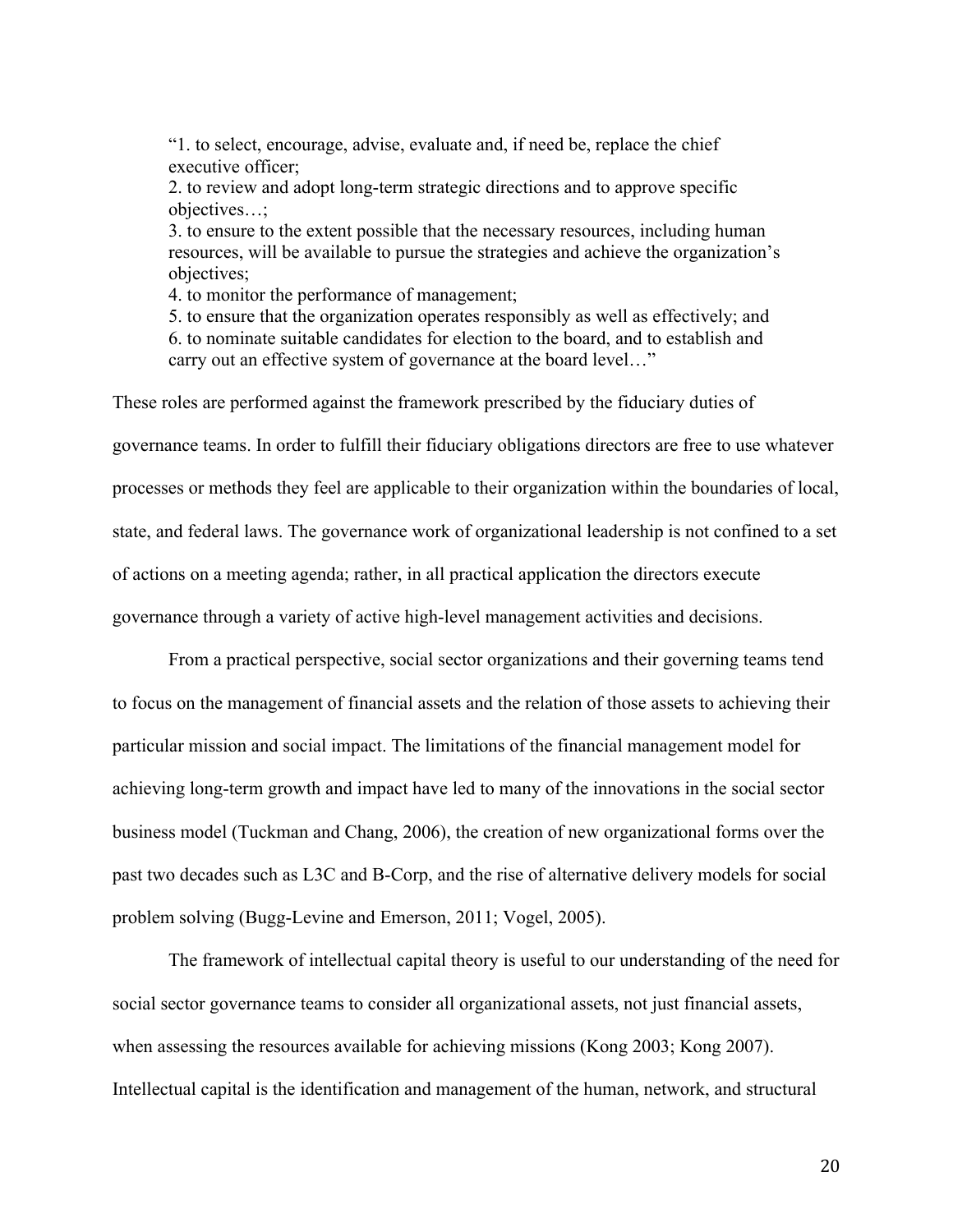"1. to select, encourage, advise, evaluate and, if need be, replace the chief executive officer;

2. to review and adopt long-term strategic directions and to approve specific objectives…;

3. to ensure to the extent possible that the necessary resources, including human resources, will be available to pursue the strategies and achieve the organization's objectives;

4. to monitor the performance of management;

5. to ensure that the organization operates responsibly as well as effectively; and 6. to nominate suitable candidates for election to the board, and to establish and carry out an effective system of governance at the board level…"

These roles are performed against the framework prescribed by the fiduciary duties of governance teams. In order to fulfill their fiduciary obligations directors are free to use whatever processes or methods they feel are applicable to their organization within the boundaries of local, state, and federal laws. The governance work of organizational leadership is not confined to a set of actions on a meeting agenda; rather, in all practical application the directors execute governance through a variety of active high-level management activities and decisions.

From a practical perspective, social sector organizations and their governing teams tend to focus on the management of financial assets and the relation of those assets to achieving their particular mission and social impact. The limitations of the financial management model for achieving long-term growth and impact have led to many of the innovations in the social sector business model (Tuckman and Chang, 2006), the creation of new organizational forms over the past two decades such as L3C and B-Corp, and the rise of alternative delivery models for social problem solving (Bugg-Levine and Emerson, 2011; Vogel, 2005).

The framework of intellectual capital theory is useful to our understanding of the need for social sector governance teams to consider all organizational assets, not just financial assets, when assessing the resources available for achieving missions (Kong 2003; Kong 2007). Intellectual capital is the identification and management of the human, network, and structural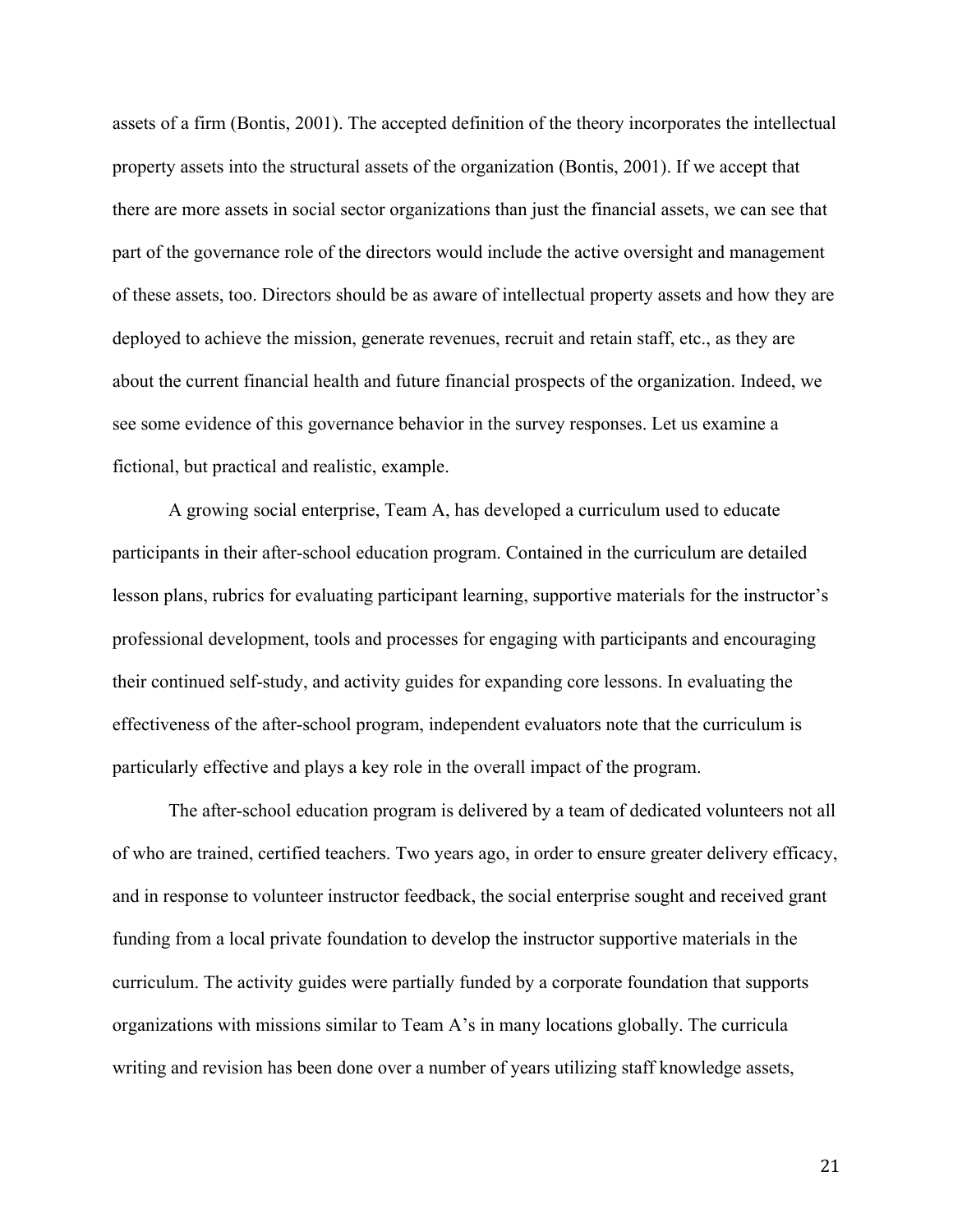assets of a firm (Bontis, 2001). The accepted definition of the theory incorporates the intellectual property assets into the structural assets of the organization (Bontis, 2001). If we accept that there are more assets in social sector organizations than just the financial assets, we can see that part of the governance role of the directors would include the active oversight and management of these assets, too. Directors should be as aware of intellectual property assets and how they are deployed to achieve the mission, generate revenues, recruit and retain staff, etc., as they are about the current financial health and future financial prospects of the organization. Indeed, we see some evidence of this governance behavior in the survey responses. Let us examine a fictional, but practical and realistic, example.

A growing social enterprise, Team A, has developed a curriculum used to educate participants in their after-school education program. Contained in the curriculum are detailed lesson plans, rubrics for evaluating participant learning, supportive materials for the instructor's professional development, tools and processes for engaging with participants and encouraging their continued self-study, and activity guides for expanding core lessons. In evaluating the effectiveness of the after-school program, independent evaluators note that the curriculum is particularly effective and plays a key role in the overall impact of the program.

The after-school education program is delivered by a team of dedicated volunteers not all of who are trained, certified teachers. Two years ago, in order to ensure greater delivery efficacy, and in response to volunteer instructor feedback, the social enterprise sought and received grant funding from a local private foundation to develop the instructor supportive materials in the curriculum. The activity guides were partially funded by a corporate foundation that supports organizations with missions similar to Team A's in many locations globally. The curricula writing and revision has been done over a number of years utilizing staff knowledge assets,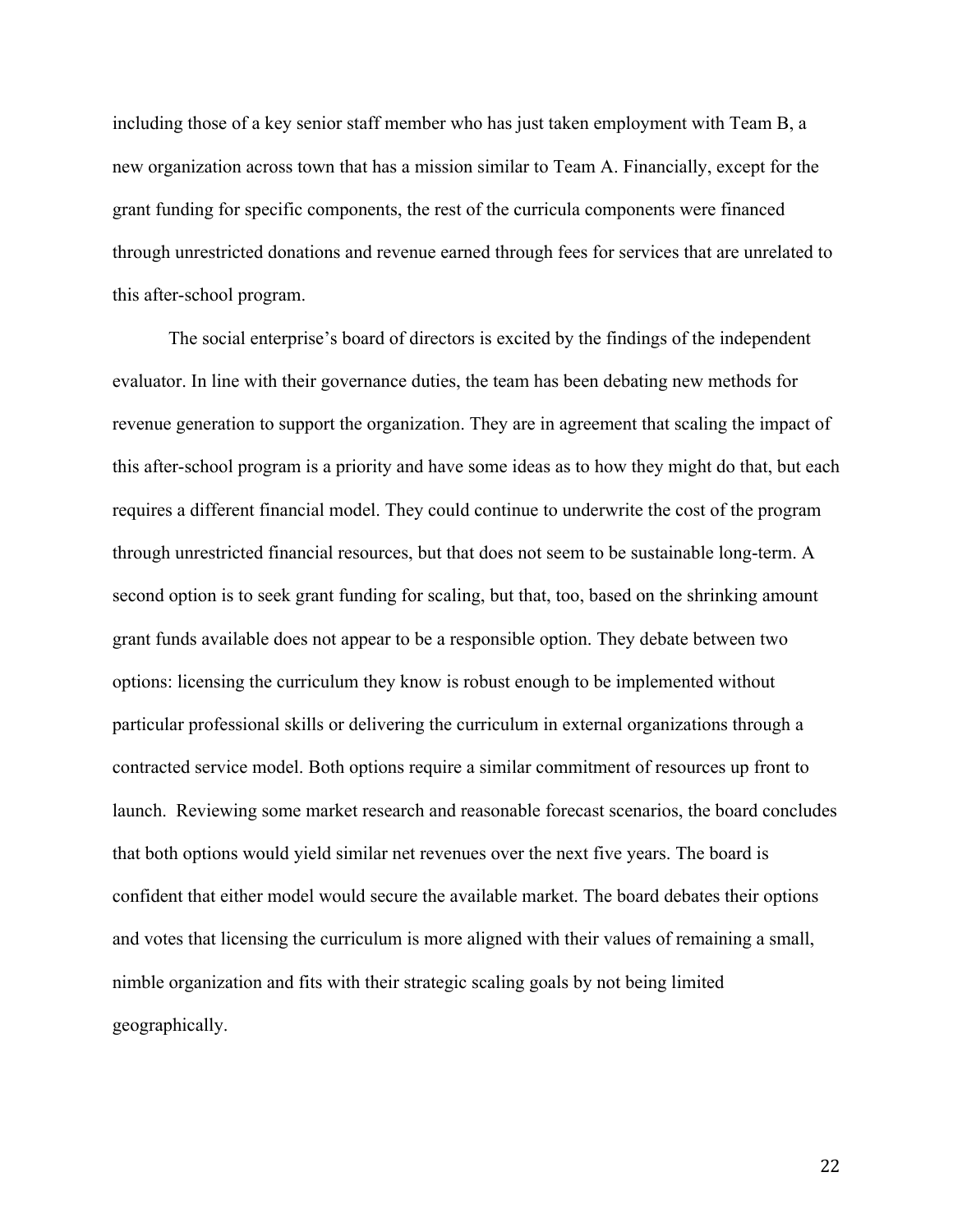including those of a key senior staff member who has just taken employment with Team B, a new organization across town that has a mission similar to Team A. Financially, except for the grant funding for specific components, the rest of the curricula components were financed through unrestricted donations and revenue earned through fees for services that are unrelated to this after-school program.

The social enterprise's board of directors is excited by the findings of the independent evaluator. In line with their governance duties, the team has been debating new methods for revenue generation to support the organization. They are in agreement that scaling the impact of this after-school program is a priority and have some ideas as to how they might do that, but each requires a different financial model. They could continue to underwrite the cost of the program through unrestricted financial resources, but that does not seem to be sustainable long-term. A second option is to seek grant funding for scaling, but that, too, based on the shrinking amount grant funds available does not appear to be a responsible option. They debate between two options: licensing the curriculum they know is robust enough to be implemented without particular professional skills or delivering the curriculum in external organizations through a contracted service model. Both options require a similar commitment of resources up front to launch. Reviewing some market research and reasonable forecast scenarios, the board concludes that both options would yield similar net revenues over the next five years. The board is confident that either model would secure the available market. The board debates their options and votes that licensing the curriculum is more aligned with their values of remaining a small, nimble organization and fits with their strategic scaling goals by not being limited geographically.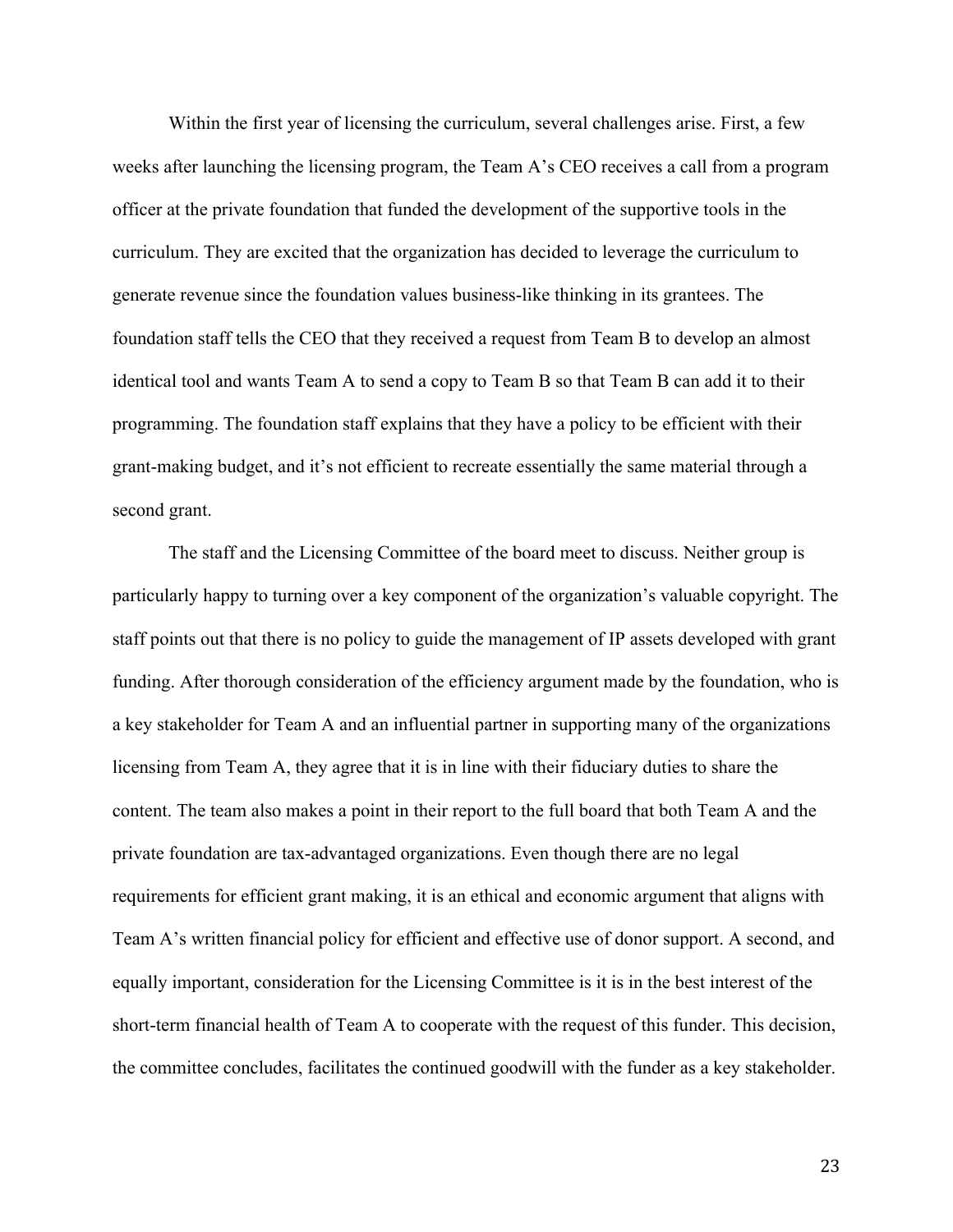Within the first year of licensing the curriculum, several challenges arise. First, a few weeks after launching the licensing program, the Team A's CEO receives a call from a program officer at the private foundation that funded the development of the supportive tools in the curriculum. They are excited that the organization has decided to leverage the curriculum to generate revenue since the foundation values business-like thinking in its grantees. The foundation staff tells the CEO that they received a request from Team B to develop an almost identical tool and wants Team A to send a copy to Team B so that Team B can add it to their programming. The foundation staff explains that they have a policy to be efficient with their grant-making budget, and it's not efficient to recreate essentially the same material through a second grant.

The staff and the Licensing Committee of the board meet to discuss. Neither group is particularly happy to turning over a key component of the organization's valuable copyright. The staff points out that there is no policy to guide the management of IP assets developed with grant funding. After thorough consideration of the efficiency argument made by the foundation, who is a key stakeholder for Team A and an influential partner in supporting many of the organizations licensing from Team A, they agree that it is in line with their fiduciary duties to share the content. The team also makes a point in their report to the full board that both Team A and the private foundation are tax-advantaged organizations. Even though there are no legal requirements for efficient grant making, it is an ethical and economic argument that aligns with Team A's written financial policy for efficient and effective use of donor support. A second, and equally important, consideration for the Licensing Committee is it is in the best interest of the short-term financial health of Team A to cooperate with the request of this funder. This decision, the committee concludes, facilitates the continued goodwill with the funder as a key stakeholder.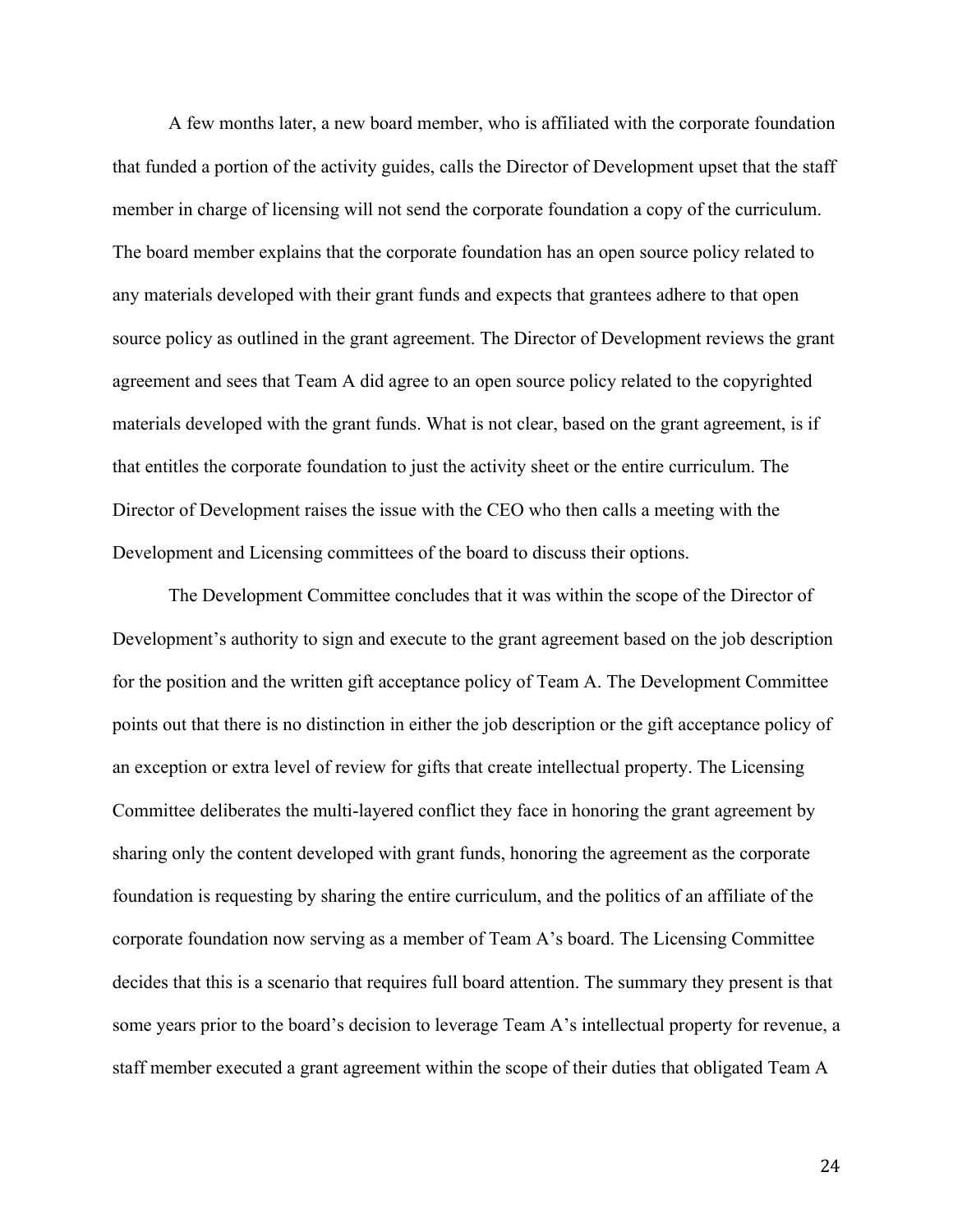A few months later, a new board member, who is affiliated with the corporate foundation that funded a portion of the activity guides, calls the Director of Development upset that the staff member in charge of licensing will not send the corporate foundation a copy of the curriculum. The board member explains that the corporate foundation has an open source policy related to any materials developed with their grant funds and expects that grantees adhere to that open source policy as outlined in the grant agreement. The Director of Development reviews the grant agreement and sees that Team A did agree to an open source policy related to the copyrighted materials developed with the grant funds. What is not clear, based on the grant agreement, is if that entitles the corporate foundation to just the activity sheet or the entire curriculum. The Director of Development raises the issue with the CEO who then calls a meeting with the Development and Licensing committees of the board to discuss their options.

The Development Committee concludes that it was within the scope of the Director of Development's authority to sign and execute to the grant agreement based on the job description for the position and the written gift acceptance policy of Team A. The Development Committee points out that there is no distinction in either the job description or the gift acceptance policy of an exception or extra level of review for gifts that create intellectual property. The Licensing Committee deliberates the multi-layered conflict they face in honoring the grant agreement by sharing only the content developed with grant funds, honoring the agreement as the corporate foundation is requesting by sharing the entire curriculum, and the politics of an affiliate of the corporate foundation now serving as a member of Team A's board. The Licensing Committee decides that this is a scenario that requires full board attention. The summary they present is that some years prior to the board's decision to leverage Team A's intellectual property for revenue, a staff member executed a grant agreement within the scope of their duties that obligated Team A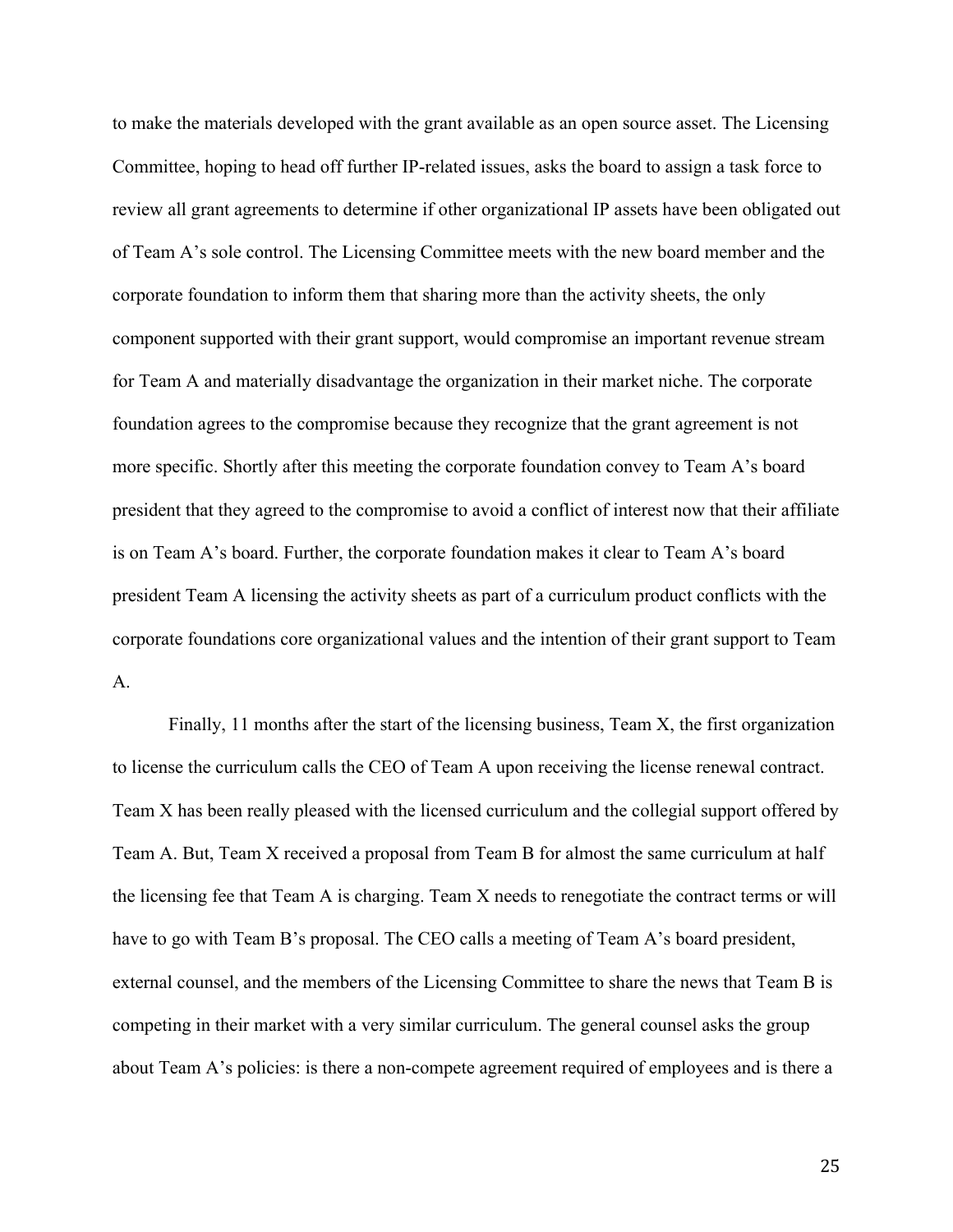to make the materials developed with the grant available as an open source asset. The Licensing Committee, hoping to head off further IP-related issues, asks the board to assign a task force to review all grant agreements to determine if other organizational IP assets have been obligated out of Team A's sole control. The Licensing Committee meets with the new board member and the corporate foundation to inform them that sharing more than the activity sheets, the only component supported with their grant support, would compromise an important revenue stream for Team A and materially disadvantage the organization in their market niche. The corporate foundation agrees to the compromise because they recognize that the grant agreement is not more specific. Shortly after this meeting the corporate foundation convey to Team A's board president that they agreed to the compromise to avoid a conflict of interest now that their affiliate is on Team A's board. Further, the corporate foundation makes it clear to Team A's board president Team A licensing the activity sheets as part of a curriculum product conflicts with the corporate foundations core organizational values and the intention of their grant support to Team A.

Finally, 11 months after the start of the licensing business, Team X, the first organization to license the curriculum calls the CEO of Team A upon receiving the license renewal contract. Team X has been really pleased with the licensed curriculum and the collegial support offered by Team A. But, Team X received a proposal from Team B for almost the same curriculum at half the licensing fee that Team A is charging. Team X needs to renegotiate the contract terms or will have to go with Team B's proposal. The CEO calls a meeting of Team A's board president, external counsel, and the members of the Licensing Committee to share the news that Team B is competing in their market with a very similar curriculum. The general counsel asks the group about Team A's policies: is there a non-compete agreement required of employees and is there a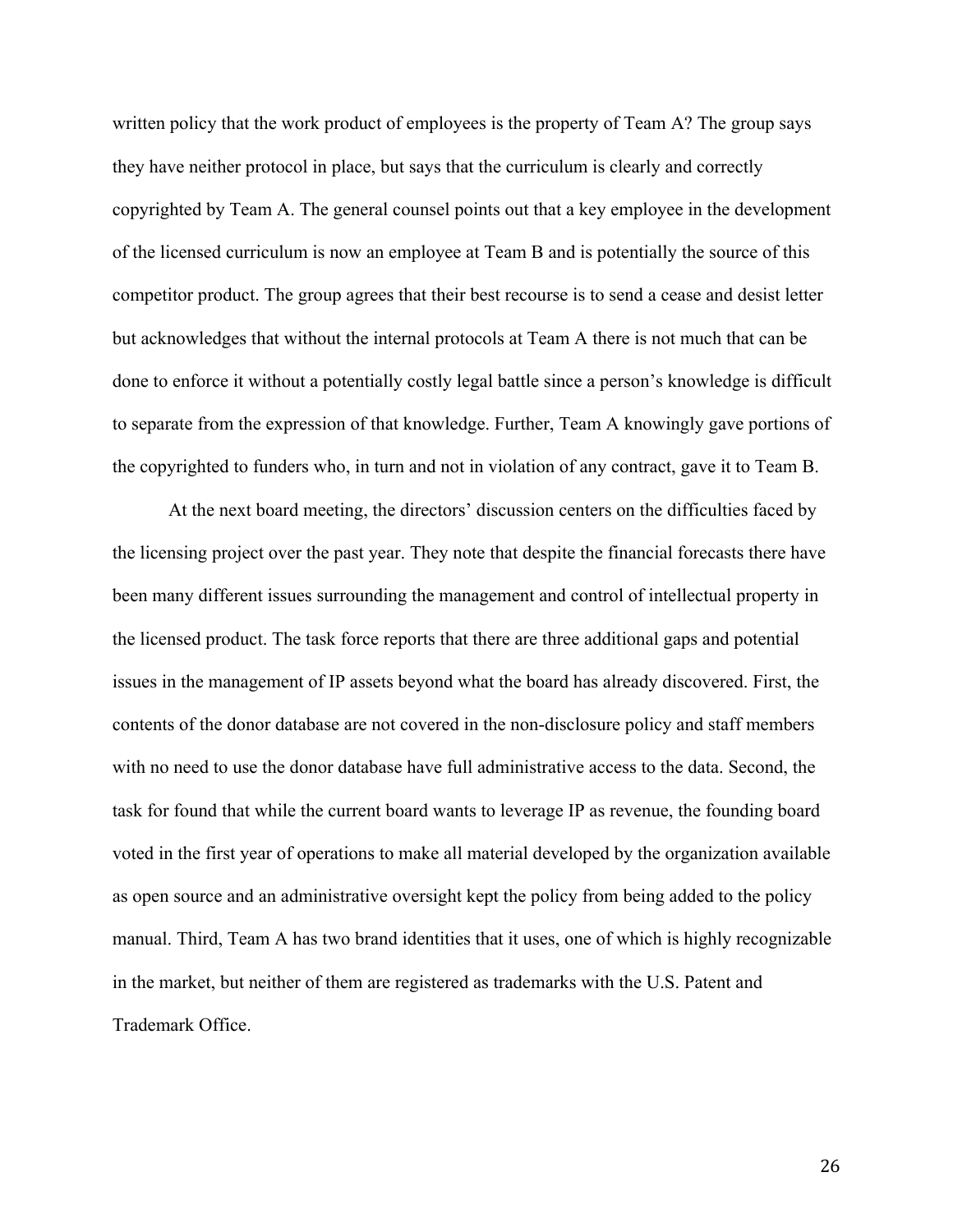written policy that the work product of employees is the property of Team A? The group says they have neither protocol in place, but says that the curriculum is clearly and correctly copyrighted by Team A. The general counsel points out that a key employee in the development of the licensed curriculum is now an employee at Team B and is potentially the source of this competitor product. The group agrees that their best recourse is to send a cease and desist letter but acknowledges that without the internal protocols at Team A there is not much that can be done to enforce it without a potentially costly legal battle since a person's knowledge is difficult to separate from the expression of that knowledge. Further, Team A knowingly gave portions of the copyrighted to funders who, in turn and not in violation of any contract, gave it to Team B.

At the next board meeting, the directors' discussion centers on the difficulties faced by the licensing project over the past year. They note that despite the financial forecasts there have been many different issues surrounding the management and control of intellectual property in the licensed product. The task force reports that there are three additional gaps and potential issues in the management of IP assets beyond what the board has already discovered. First, the contents of the donor database are not covered in the non-disclosure policy and staff members with no need to use the donor database have full administrative access to the data. Second, the task for found that while the current board wants to leverage IP as revenue, the founding board voted in the first year of operations to make all material developed by the organization available as open source and an administrative oversight kept the policy from being added to the policy manual. Third, Team A has two brand identities that it uses, one of which is highly recognizable in the market, but neither of them are registered as trademarks with the U.S. Patent and Trademark Office.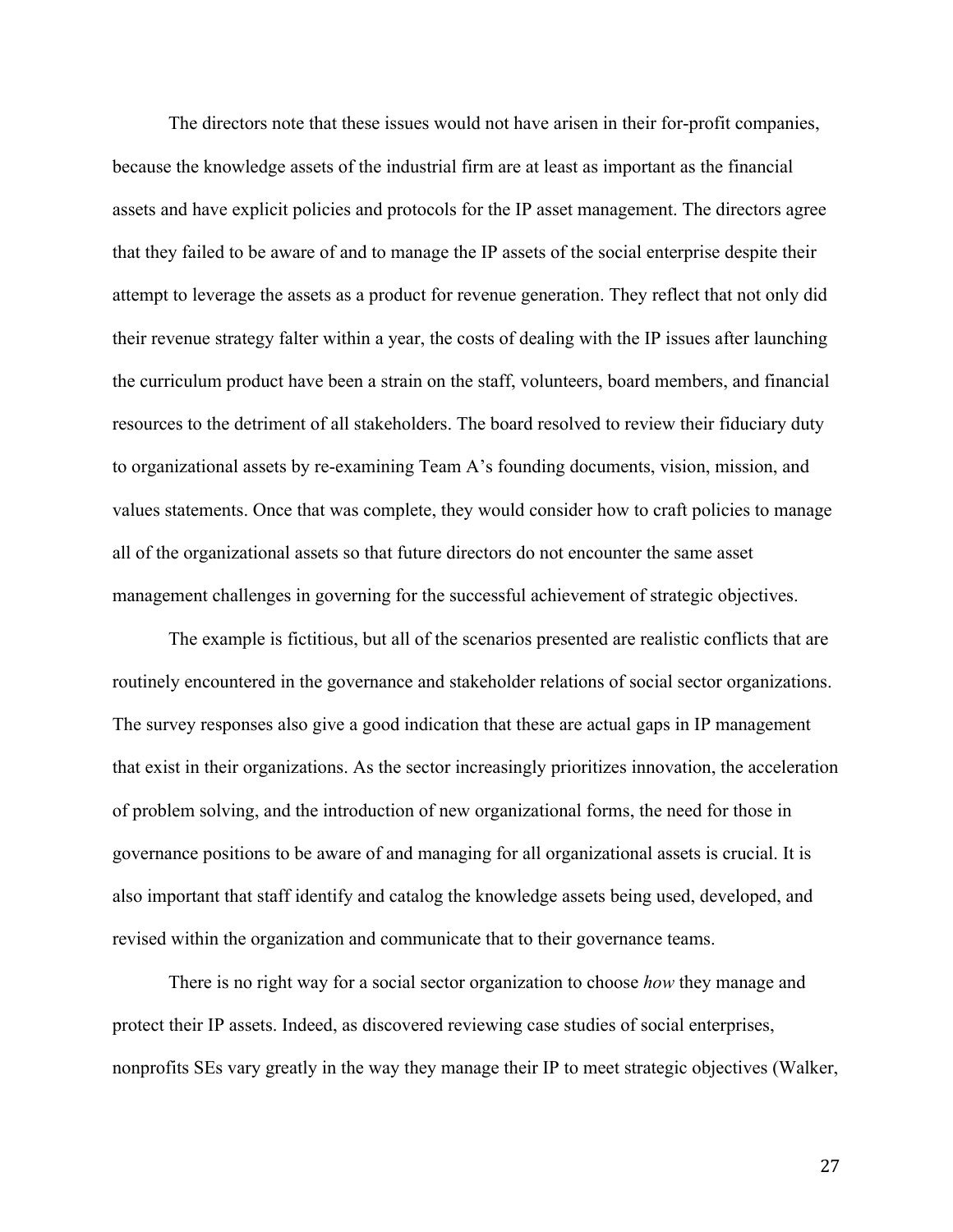The directors note that these issues would not have arisen in their for-profit companies, because the knowledge assets of the industrial firm are at least as important as the financial assets and have explicit policies and protocols for the IP asset management. The directors agree that they failed to be aware of and to manage the IP assets of the social enterprise despite their attempt to leverage the assets as a product for revenue generation. They reflect that not only did their revenue strategy falter within a year, the costs of dealing with the IP issues after launching the curriculum product have been a strain on the staff, volunteers, board members, and financial resources to the detriment of all stakeholders. The board resolved to review their fiduciary duty to organizational assets by re-examining Team A's founding documents, vision, mission, and values statements. Once that was complete, they would consider how to craft policies to manage all of the organizational assets so that future directors do not encounter the same asset management challenges in governing for the successful achievement of strategic objectives.

The example is fictitious, but all of the scenarios presented are realistic conflicts that are routinely encountered in the governance and stakeholder relations of social sector organizations. The survey responses also give a good indication that these are actual gaps in IP management that exist in their organizations. As the sector increasingly prioritizes innovation, the acceleration of problem solving, and the introduction of new organizational forms, the need for those in governance positions to be aware of and managing for all organizational assets is crucial. It is also important that staff identify and catalog the knowledge assets being used, developed, and revised within the organization and communicate that to their governance teams.

There is no right way for a social sector organization to choose *how* they manage and protect their IP assets. Indeed, as discovered reviewing case studies of social enterprises, nonprofits SEs vary greatly in the way they manage their IP to meet strategic objectives (Walker,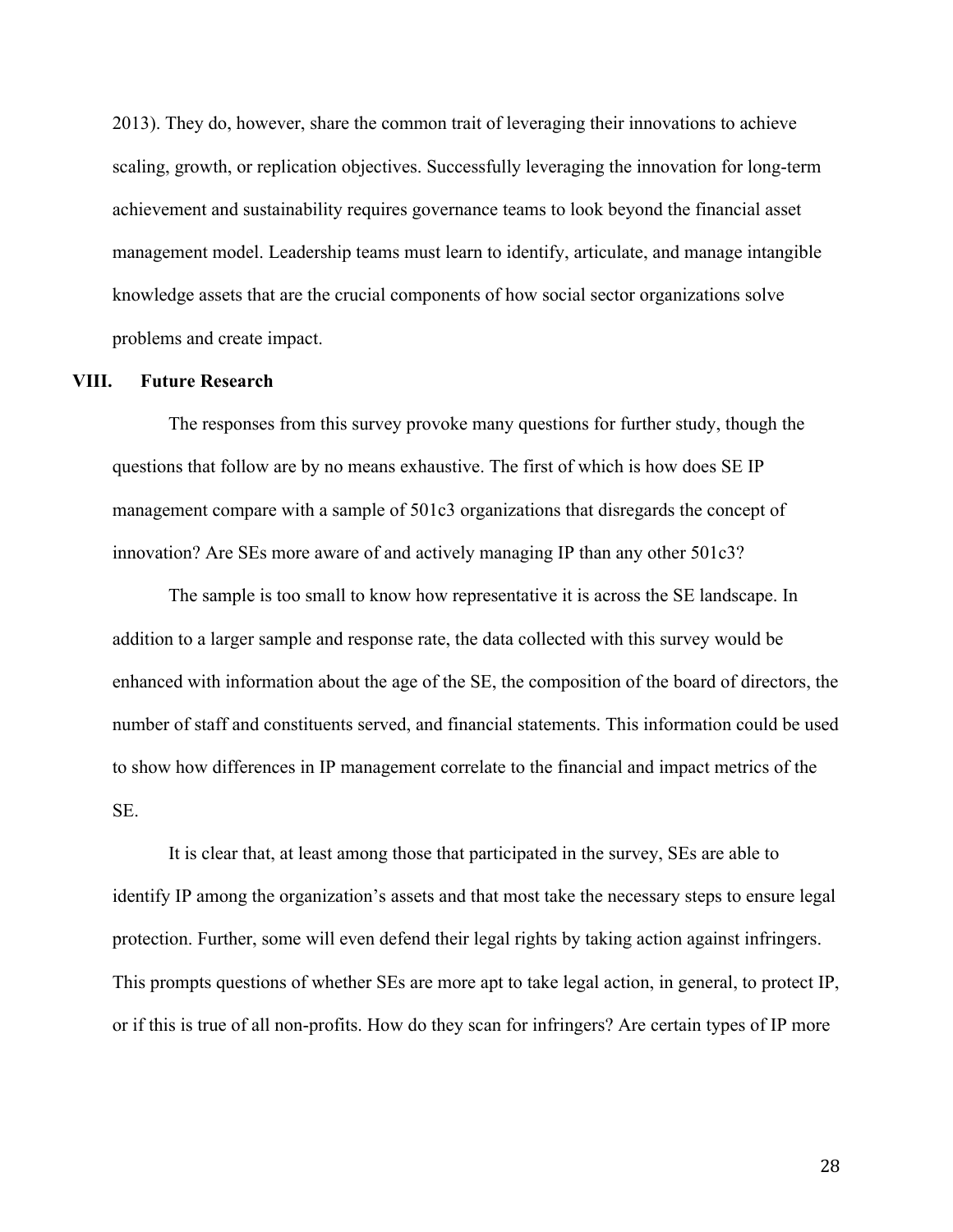2013). They do, however, share the common trait of leveraging their innovations to achieve scaling, growth, or replication objectives. Successfully leveraging the innovation for long-term achievement and sustainability requires governance teams to look beyond the financial asset management model. Leadership teams must learn to identify, articulate, and manage intangible knowledge assets that are the crucial components of how social sector organizations solve problems and create impact.

#### **VIII. Future Research**

The responses from this survey provoke many questions for further study, though the questions that follow are by no means exhaustive. The first of which is how does SE IP management compare with a sample of 501c3 organizations that disregards the concept of innovation? Are SEs more aware of and actively managing IP than any other 501c3?

The sample is too small to know how representative it is across the SE landscape. In addition to a larger sample and response rate, the data collected with this survey would be enhanced with information about the age of the SE, the composition of the board of directors, the number of staff and constituents served, and financial statements. This information could be used to show how differences in IP management correlate to the financial and impact metrics of the SE.

It is clear that, at least among those that participated in the survey, SEs are able to identify IP among the organization's assets and that most take the necessary steps to ensure legal protection. Further, some will even defend their legal rights by taking action against infringers. This prompts questions of whether SEs are more apt to take legal action, in general, to protect IP, or if this is true of all non-profits. How do they scan for infringers? Are certain types of IP more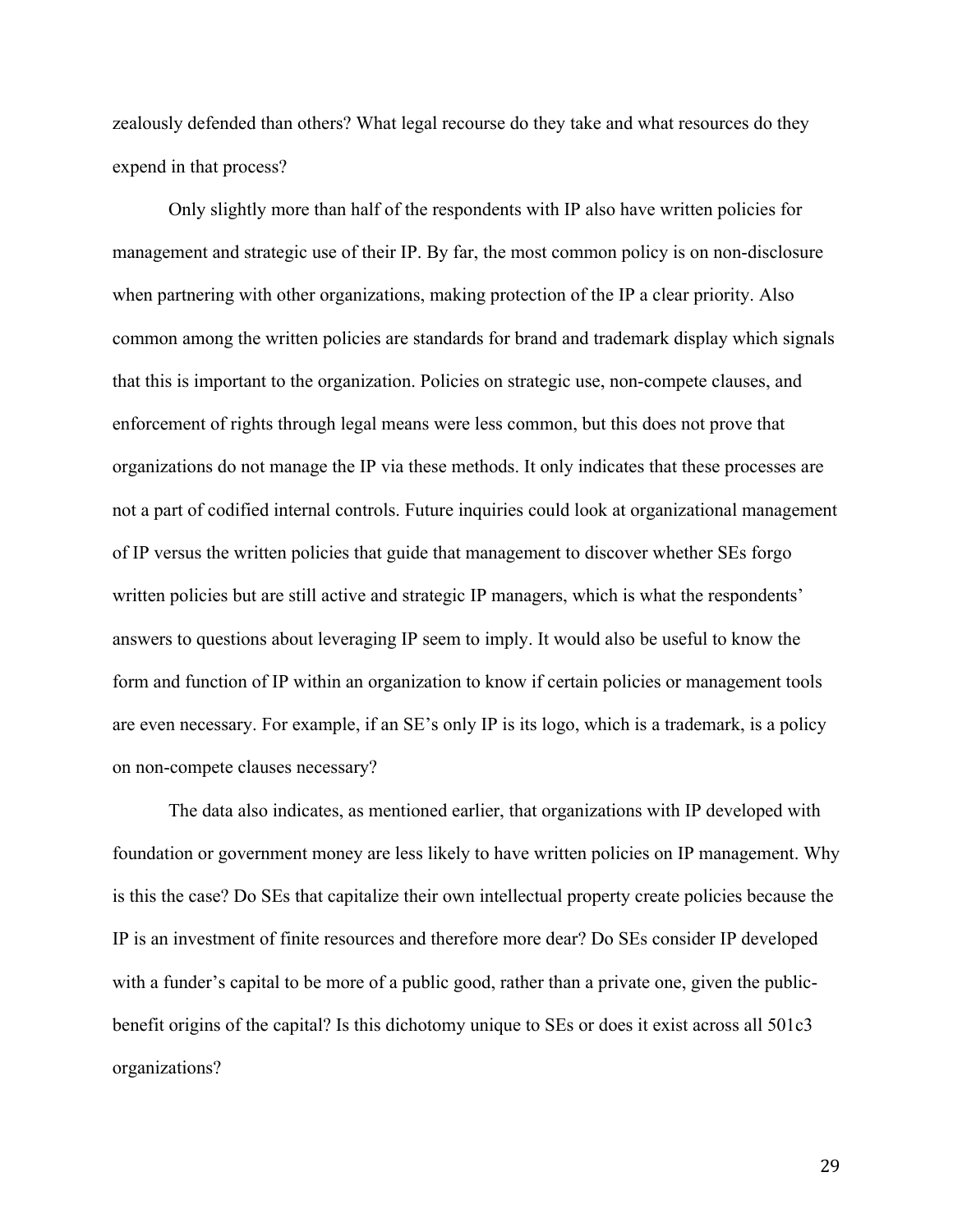zealously defended than others? What legal recourse do they take and what resources do they expend in that process?

Only slightly more than half of the respondents with IP also have written policies for management and strategic use of their IP. By far, the most common policy is on non-disclosure when partnering with other organizations, making protection of the IP a clear priority. Also common among the written policies are standards for brand and trademark display which signals that this is important to the organization. Policies on strategic use, non-compete clauses, and enforcement of rights through legal means were less common, but this does not prove that organizations do not manage the IP via these methods. It only indicates that these processes are not a part of codified internal controls. Future inquiries could look at organizational management of IP versus the written policies that guide that management to discover whether SEs forgo written policies but are still active and strategic IP managers, which is what the respondents' answers to questions about leveraging IP seem to imply. It would also be useful to know the form and function of IP within an organization to know if certain policies or management tools are even necessary. For example, if an SE's only IP is its logo, which is a trademark, is a policy on non-compete clauses necessary?

The data also indicates, as mentioned earlier, that organizations with IP developed with foundation or government money are less likely to have written policies on IP management. Why is this the case? Do SEs that capitalize their own intellectual property create policies because the IP is an investment of finite resources and therefore more dear? Do SEs consider IP developed with a funder's capital to be more of a public good, rather than a private one, given the publicbenefit origins of the capital? Is this dichotomy unique to SEs or does it exist across all 501c3 organizations?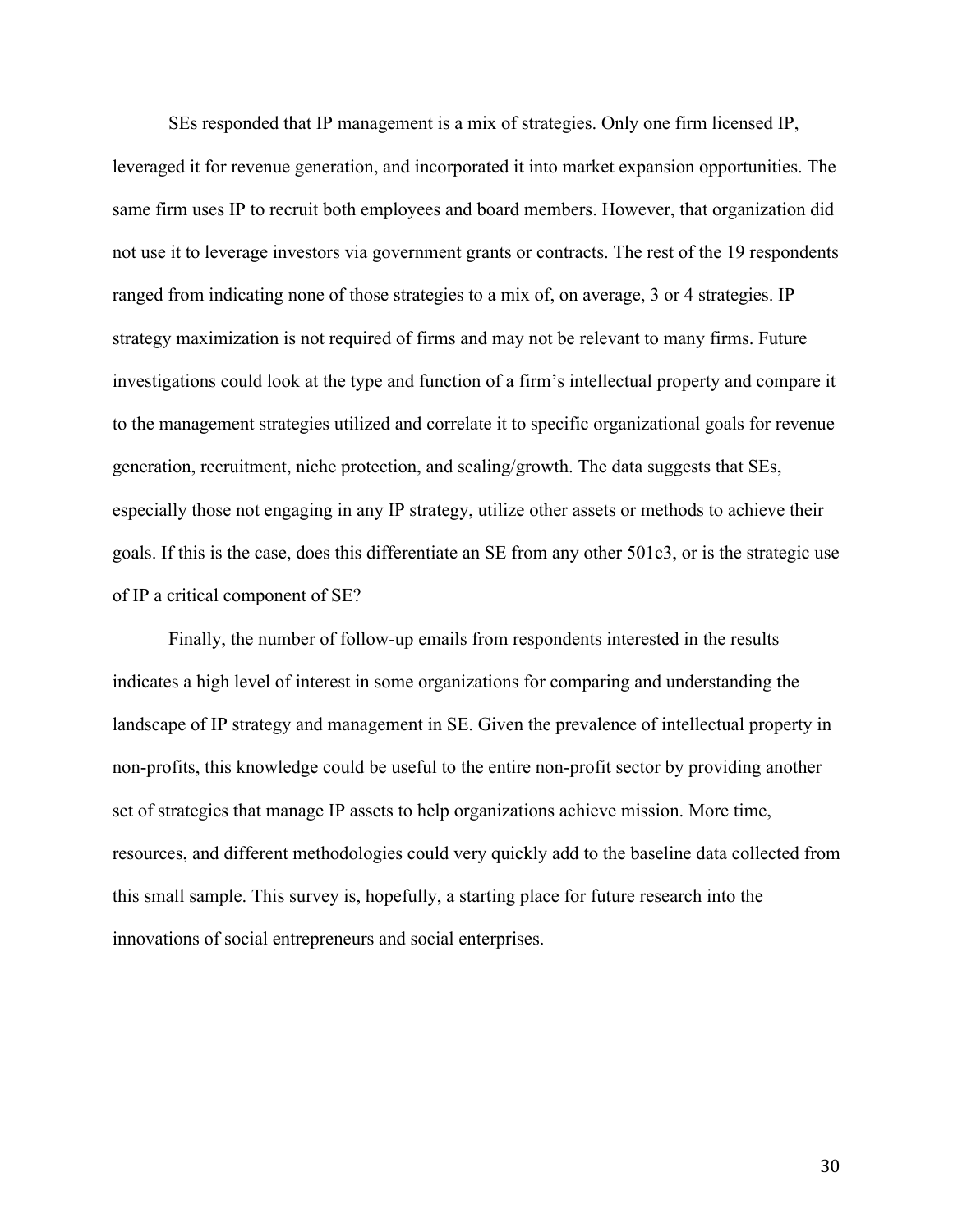SEs responded that IP management is a mix of strategies. Only one firm licensed IP, leveraged it for revenue generation, and incorporated it into market expansion opportunities. The same firm uses IP to recruit both employees and board members. However, that organization did not use it to leverage investors via government grants or contracts. The rest of the 19 respondents ranged from indicating none of those strategies to a mix of, on average, 3 or 4 strategies. IP strategy maximization is not required of firms and may not be relevant to many firms. Future investigations could look at the type and function of a firm's intellectual property and compare it to the management strategies utilized and correlate it to specific organizational goals for revenue generation, recruitment, niche protection, and scaling/growth. The data suggests that SEs, especially those not engaging in any IP strategy, utilize other assets or methods to achieve their goals. If this is the case, does this differentiate an SE from any other 501c3, or is the strategic use of IP a critical component of SE?

Finally, the number of follow-up emails from respondents interested in the results indicates a high level of interest in some organizations for comparing and understanding the landscape of IP strategy and management in SE. Given the prevalence of intellectual property in non-profits, this knowledge could be useful to the entire non-profit sector by providing another set of strategies that manage IP assets to help organizations achieve mission. More time, resources, and different methodologies could very quickly add to the baseline data collected from this small sample. This survey is, hopefully, a starting place for future research into the innovations of social entrepreneurs and social enterprises.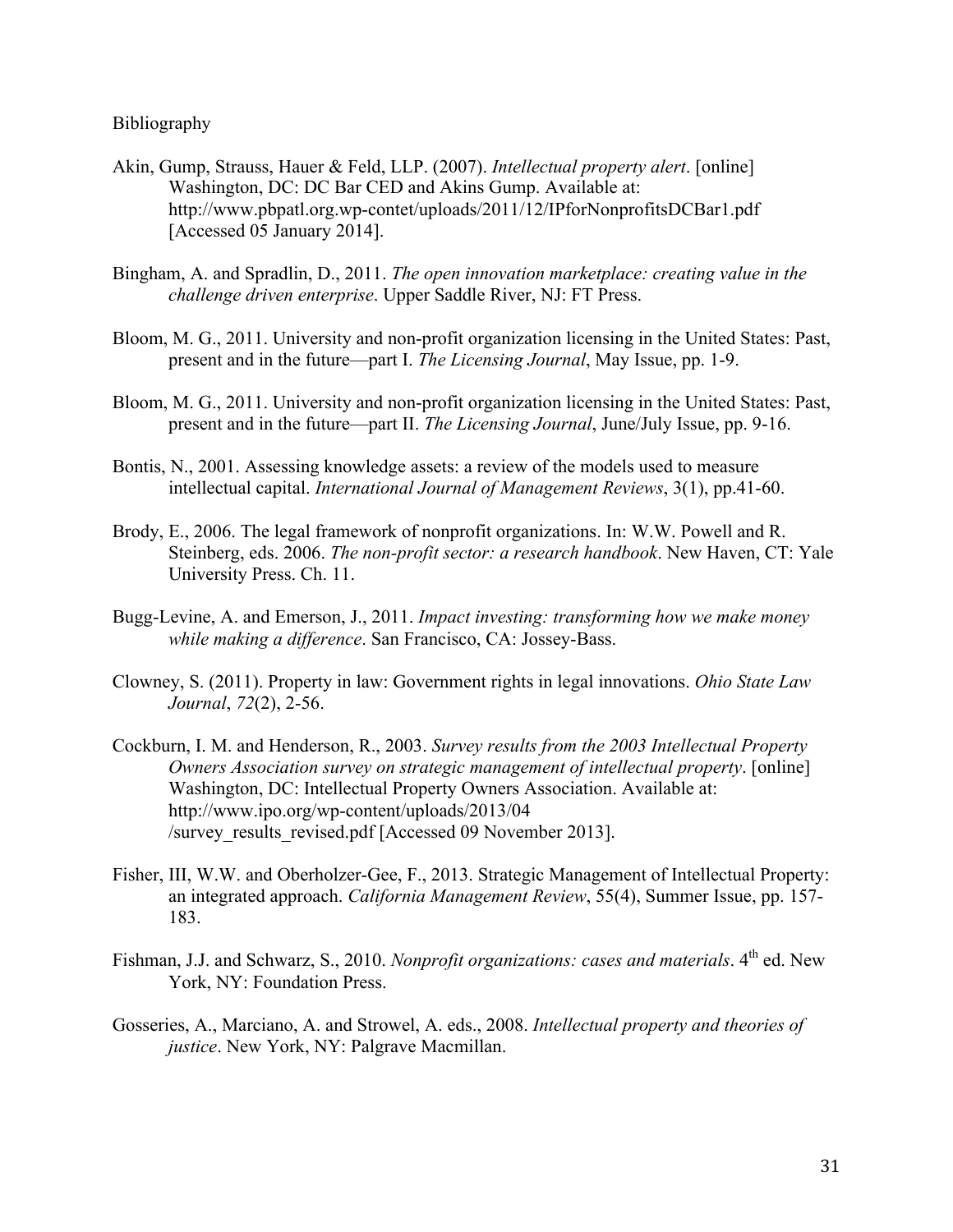#### Bibliography

- Akin, Gump, Strauss, Hauer & Feld, LLP. (2007). *Intellectual property alert*. [online] Washington, DC: DC Bar CED and Akins Gump. Available at: http://www.pbpatl.org.wp-contet/uploads/2011/12/IPforNonprofitsDCBar1.pdf [Accessed 05 January 2014].
- Bingham, A. and Spradlin, D., 2011. *The open innovation marketplace: creating value in the challenge driven enterprise*. Upper Saddle River, NJ: FT Press.
- Bloom, M. G., 2011. University and non-profit organization licensing in the United States: Past, present and in the future—part I. *The Licensing Journal*, May Issue, pp. 1-9.
- Bloom, M. G., 2011. University and non-profit organization licensing in the United States: Past, present and in the future—part II. *The Licensing Journal*, June/July Issue, pp. 9-16.
- Bontis, N., 2001. Assessing knowledge assets: a review of the models used to measure intellectual capital. *International Journal of Management Reviews*, 3(1), pp.41-60.
- Brody, E., 2006. The legal framework of nonprofit organizations. In: W.W. Powell and R. Steinberg, eds. 2006. *The non-profit sector: a research handbook*. New Haven, CT: Yale University Press. Ch. 11.
- Bugg-Levine, A. and Emerson, J., 2011. *Impact investing: transforming how we make money while making a difference*. San Francisco, CA: Jossey-Bass.
- Clowney, S. (2011). Property in law: Government rights in legal innovations. *Ohio State Law Journal*, *72*(2), 2-56.
- Cockburn, I. M. and Henderson, R., 2003. *Survey results from the 2003 Intellectual Property Owners Association survey on strategic management of intellectual property*. [online] Washington, DC: Intellectual Property Owners Association. Available at: http://www.ipo.org/wp-content/uploads/2013/04 /survey\_results\_revised.pdf [Accessed 09 November 2013].
- Fisher, III, W.W. and Oberholzer-Gee, F., 2013. Strategic Management of Intellectual Property: an integrated approach. *California Management Review*, 55(4), Summer Issue, pp. 157- 183.
- Fishman, J.J. and Schwarz, S., 2010. *Nonprofit organizations: cases and materials*. 4<sup>th</sup> ed. New York, NY: Foundation Press.
- Gosseries, A., Marciano, A. and Strowel, A. eds., 2008. *Intellectual property and theories of justice*. New York, NY: Palgrave Macmillan.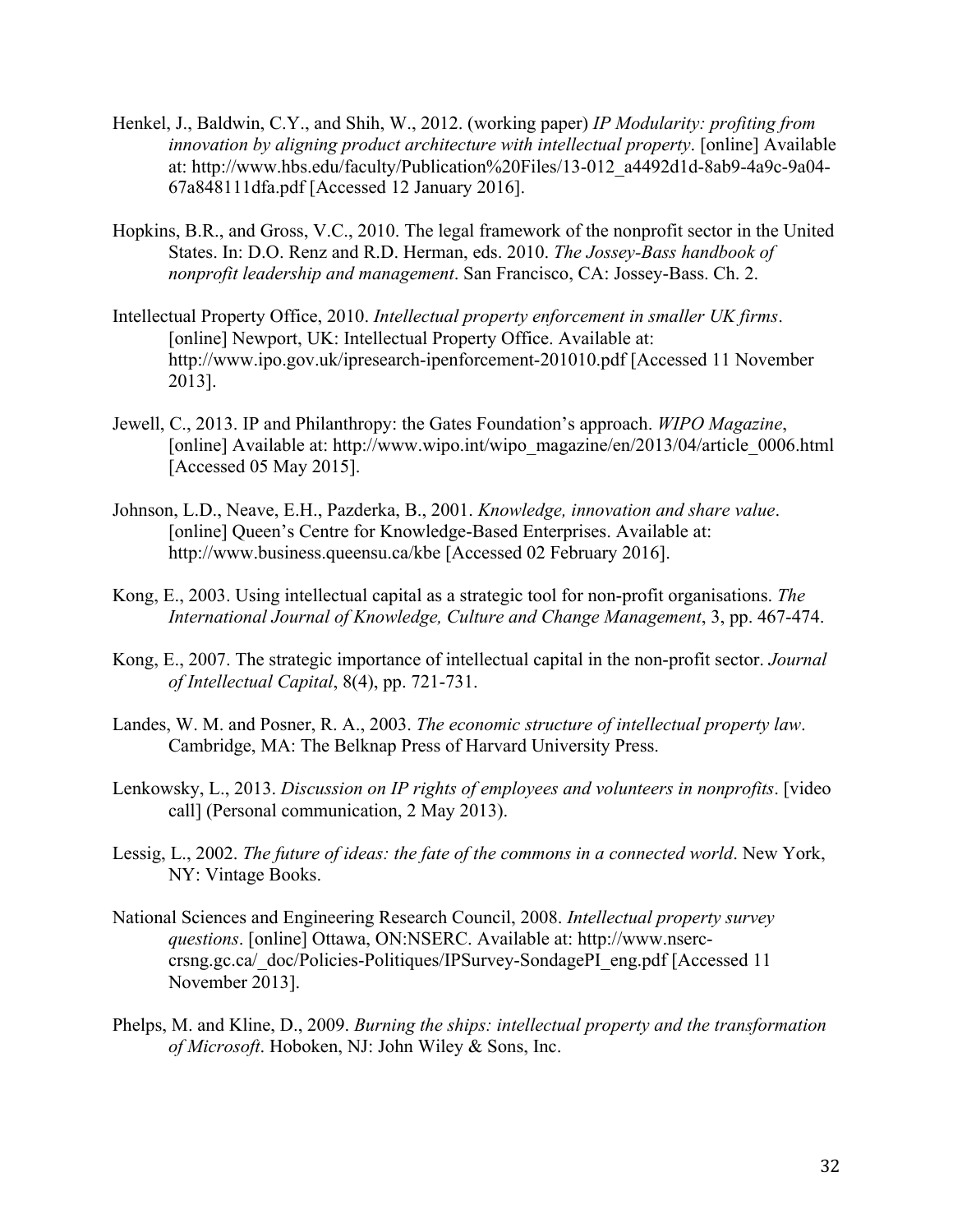- Henkel, J., Baldwin, C.Y., and Shih, W., 2012. (working paper) *IP Modularity: profiting from innovation by aligning product architecture with intellectual property*. [online] Available at: http://www.hbs.edu/faculty/Publication%20Files/13-012\_a4492d1d-8ab9-4a9c-9a04- 67a848111dfa.pdf [Accessed 12 January 2016].
- Hopkins, B.R., and Gross, V.C., 2010. The legal framework of the nonprofit sector in the United States. In: D.O. Renz and R.D. Herman, eds. 2010. *The Jossey-Bass handbook of nonprofit leadership and management*. San Francisco, CA: Jossey-Bass. Ch. 2.
- Intellectual Property Office, 2010. *Intellectual property enforcement in smaller UK firms*. [online] Newport, UK: Intellectual Property Office. Available at: http://www.ipo.gov.uk/ipresearch-ipenforcement-201010.pdf [Accessed 11 November 2013].
- Jewell, C., 2013. IP and Philanthropy: the Gates Foundation's approach. *WIPO Magazine*, [online] Available at: http://www.wipo.int/wipo\_magazine/en/2013/04/article\_0006.html [Accessed 05 May 2015].
- Johnson, L.D., Neave, E.H., Pazderka, B., 2001. *Knowledge, innovation and share value*. [online] Queen's Centre for Knowledge-Based Enterprises. Available at: http://www.business.queensu.ca/kbe [Accessed 02 February 2016].
- Kong, E., 2003. Using intellectual capital as a strategic tool for non-profit organisations. *The International Journal of Knowledge, Culture and Change Management*, 3, pp. 467-474.
- Kong, E., 2007. The strategic importance of intellectual capital in the non-profit sector. *Journal of Intellectual Capital*, 8(4), pp. 721-731.
- Landes, W. M. and Posner, R. A., 2003. *The economic structure of intellectual property law*. Cambridge, MA: The Belknap Press of Harvard University Press.
- Lenkowsky, L., 2013. *Discussion on IP rights of employees and volunteers in nonprofits*. [video call] (Personal communication, 2 May 2013).
- Lessig, L., 2002. *The future of ideas: the fate of the commons in a connected world*. New York, NY: Vintage Books.
- National Sciences and Engineering Research Council, 2008. *Intellectual property survey questions*. [online] Ottawa, ON:NSERC. Available at: http://www.nserccrsng.gc.ca/\_doc/Policies-Politiques/IPSurvey-SondagePI\_eng.pdf [Accessed 11 November 2013].
- Phelps, M. and Kline, D., 2009. *Burning the ships: intellectual property and the transformation of Microsoft*. Hoboken, NJ: John Wiley & Sons, Inc.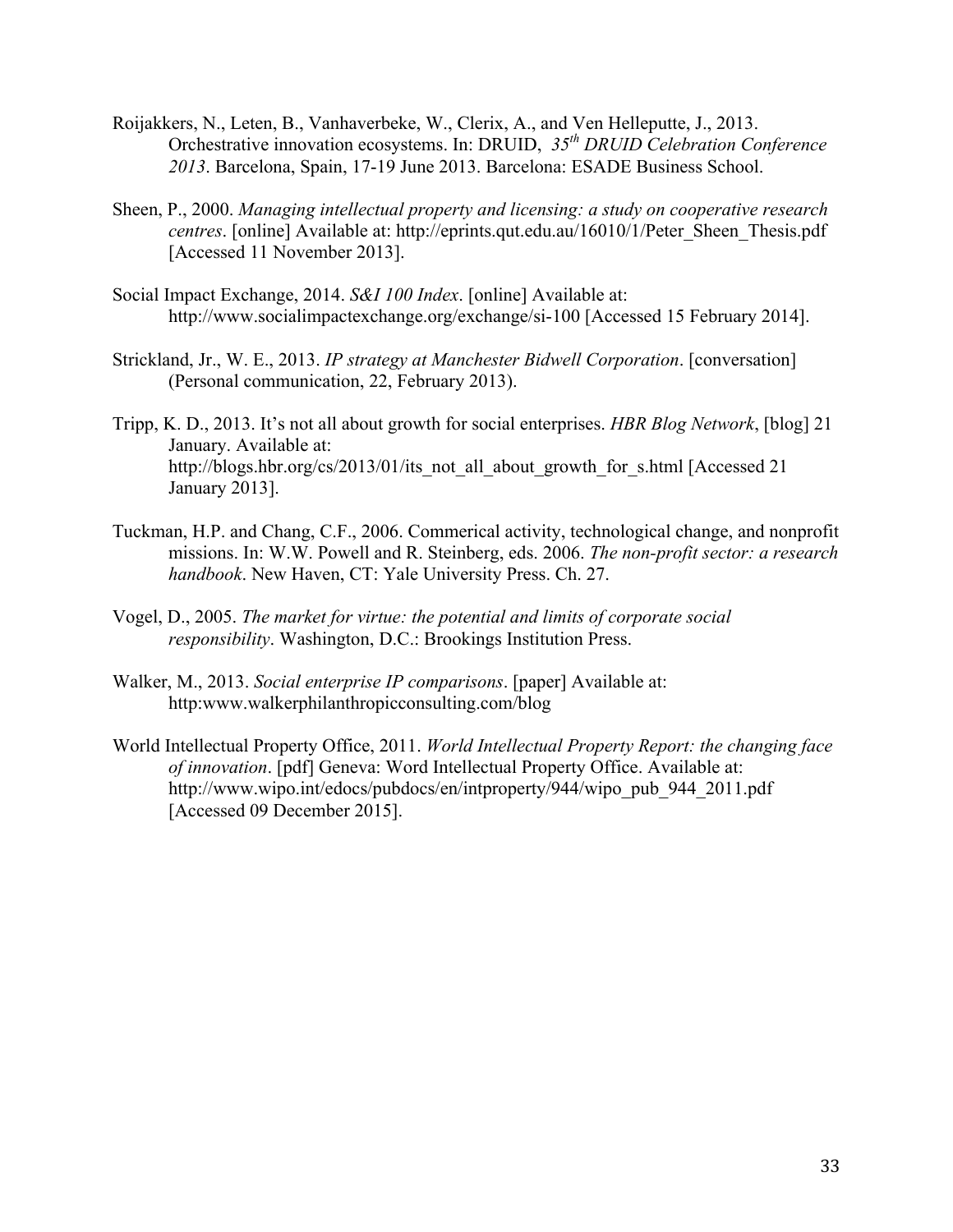- Roijakkers, N., Leten, B., Vanhaverbeke, W., Clerix, A., and Ven Helleputte, J., 2013. Orchestrative innovation ecosystems. In: DRUID, *35th DRUID Celebration Conference 2013*. Barcelona, Spain, 17-19 June 2013. Barcelona: ESADE Business School.
- Sheen, P., 2000. *Managing intellectual property and licensing: a study on cooperative research centres*. [online] Available at: http://eprints.qut.edu.au/16010/1/Peter\_Sheen\_Thesis.pdf [Accessed 11 November 2013].
- Social Impact Exchange, 2014. *S&I 100 Index*. [online] Available at: http://www.socialimpactexchange.org/exchange/si-100 [Accessed 15 February 2014].
- Strickland, Jr., W. E., 2013. *IP strategy at Manchester Bidwell Corporation*. [conversation] (Personal communication, 22, February 2013).
- Tripp, K. D., 2013. It's not all about growth for social enterprises. *HBR Blog Network*, [blog] 21 January. Available at: http://blogs.hbr.org/cs/2013/01/its\_not\_all\_about\_growth\_for\_s.html [Accessed 21] January 2013].
- Tuckman, H.P. and Chang, C.F., 2006. Commerical activity, technological change, and nonprofit missions. In: W.W. Powell and R. Steinberg, eds. 2006. *The non-profit sector: a research handbook*. New Haven, CT: Yale University Press. Ch. 27.
- Vogel, D., 2005. *The market for virtue: the potential and limits of corporate social responsibility*. Washington, D.C.: Brookings Institution Press.
- Walker, M., 2013. *Social enterprise IP comparisons*. [paper] Available at: http:www.walkerphilanthropicconsulting.com/blog
- World Intellectual Property Office, 2011. *World Intellectual Property Report: the changing face of innovation*. [pdf] Geneva: Word Intellectual Property Office. Available at: http://www.wipo.int/edocs/pubdocs/en/intproperty/944/wipo\_pub\_944\_2011.pdf [Accessed 09 December 2015].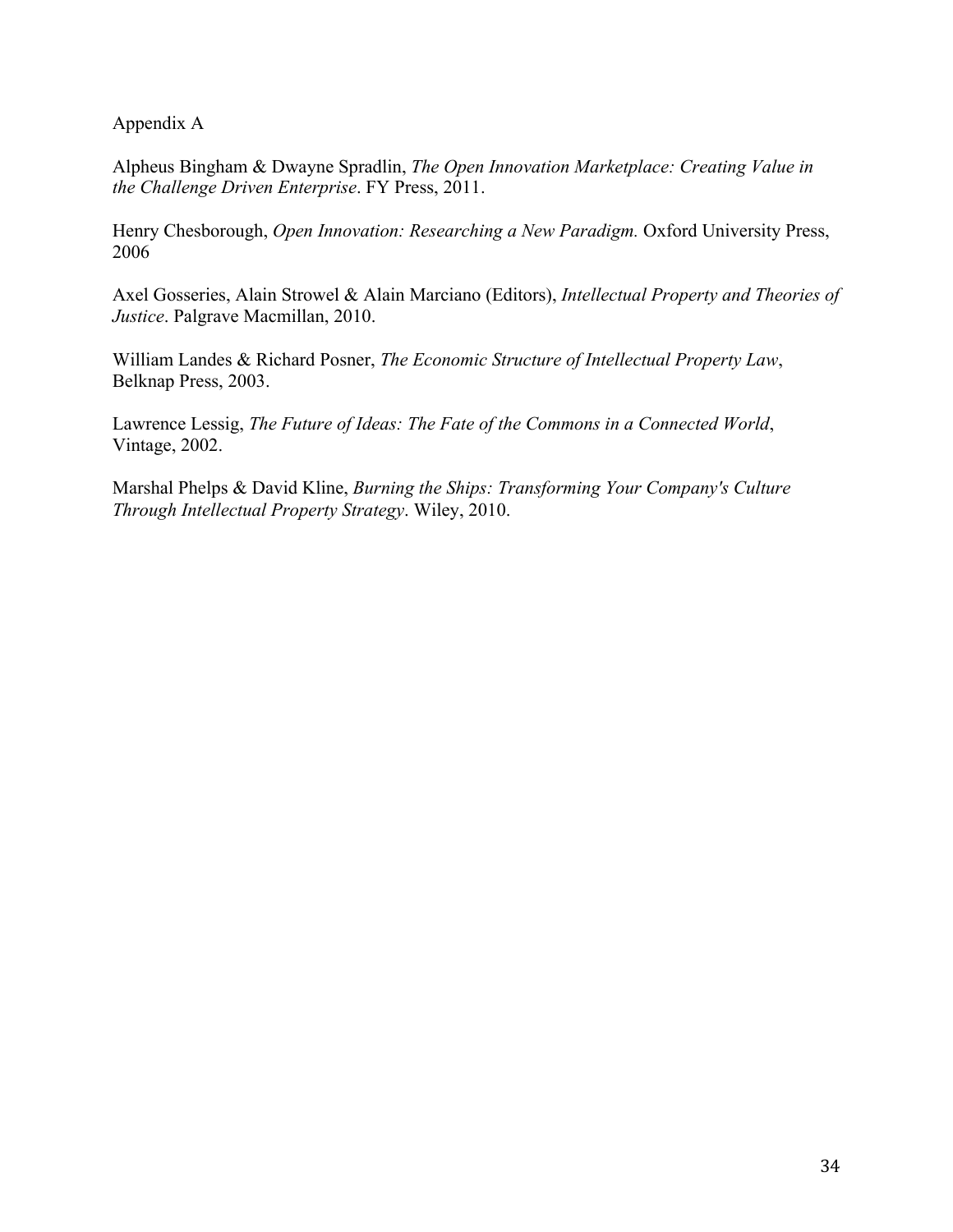Appendix A

Alpheus Bingham & Dwayne Spradlin, *The Open Innovation Marketplace: Creating Value in the Challenge Driven Enterprise*. FY Press, 2011.

Henry Chesborough, *Open Innovation: Researching a New Paradigm.* Oxford University Press, 2006

Axel Gosseries, Alain Strowel & Alain Marciano (Editors), *Intellectual Property and Theories of Justice*. Palgrave Macmillan, 2010.

William Landes & Richard Posner, *The Economic Structure of Intellectual Property Law*, Belknap Press, 2003.

Lawrence Lessig, *The Future of Ideas: The Fate of the Commons in a Connected World*, Vintage, 2002.

Marshal Phelps & David Kline, *Burning the Ships: Transforming Your Company's Culture Through Intellectual Property Strategy*. Wiley, 2010.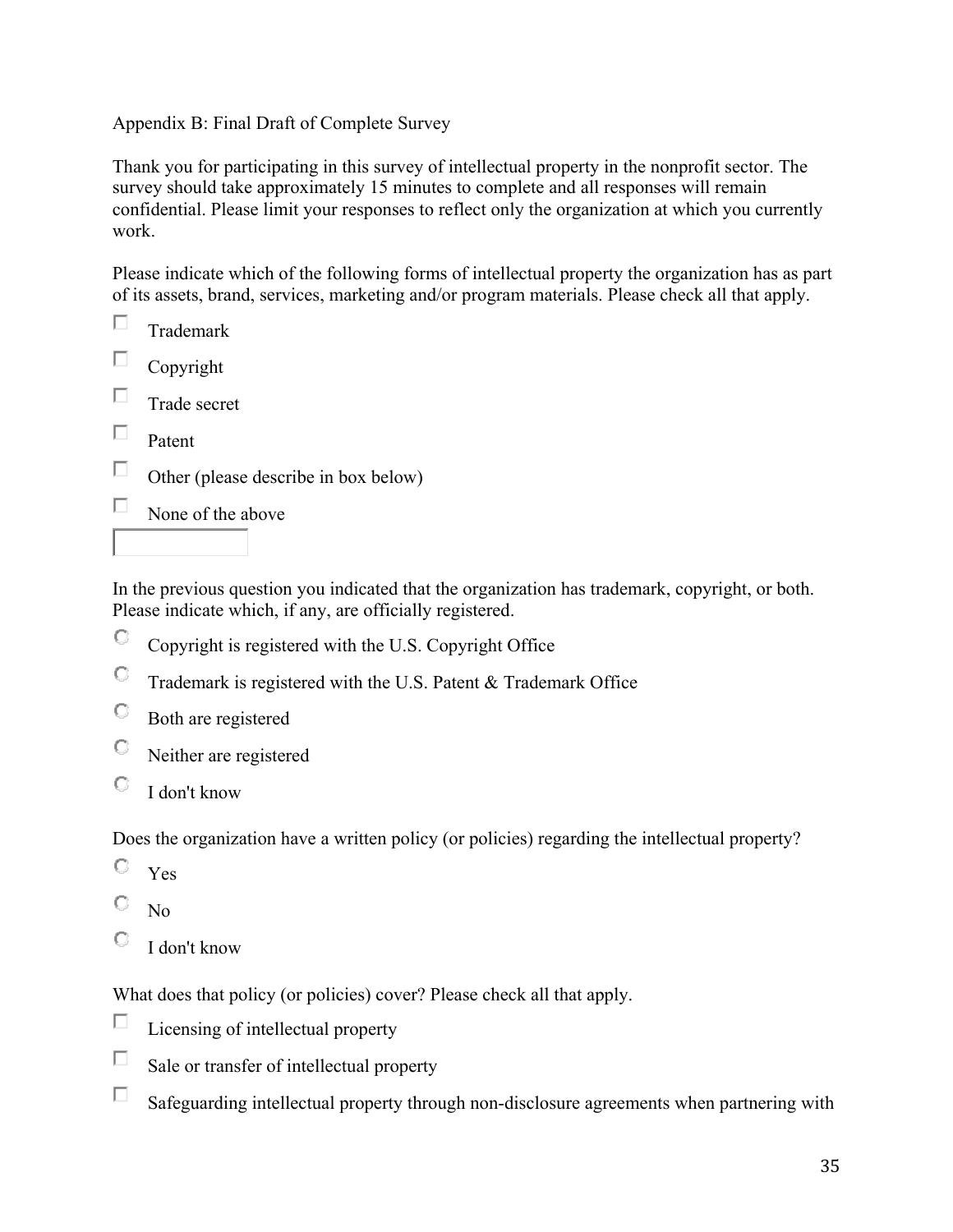# Appendix B: Final Draft of Complete Survey

Thank you for participating in this survey of intellectual property in the nonprofit sector. The survey should take approximately 15 minutes to complete and all responses will remain confidential. Please limit your responses to reflect only the organization at which you currently work.

Please indicate which of the following forms of intellectual property the organization has as part of its assets, brand, services, marketing and/or program materials. Please check all that apply.

| Trademark                            |
|--------------------------------------|
| Copyright                            |
| Trade secret                         |
| Patent                               |
| Other (please describe in box below) |
| None of the above                    |
|                                      |

In the previous question you indicated that the organization has trademark, copyright, or both. Please indicate which, if any, are officially registered.

- О. Copyright is registered with the U.S. Copyright Office
- 0. Trademark is registered with the U.S. Patent & Trademark Office
- О Both are registered
- О Neither are registered
- $\bigcirc$  I don't know

Does the organization have a written policy (or policies) regarding the intellectual property?

- О. Yes
- О  $N<sub>0</sub>$
- О I don't know

What does that policy (or policies) cover? Please check all that apply.

- П Licensing of intellectual property
- П Sale or transfer of intellectual property
- П Safeguarding intellectual property through non-disclosure agreements when partnering with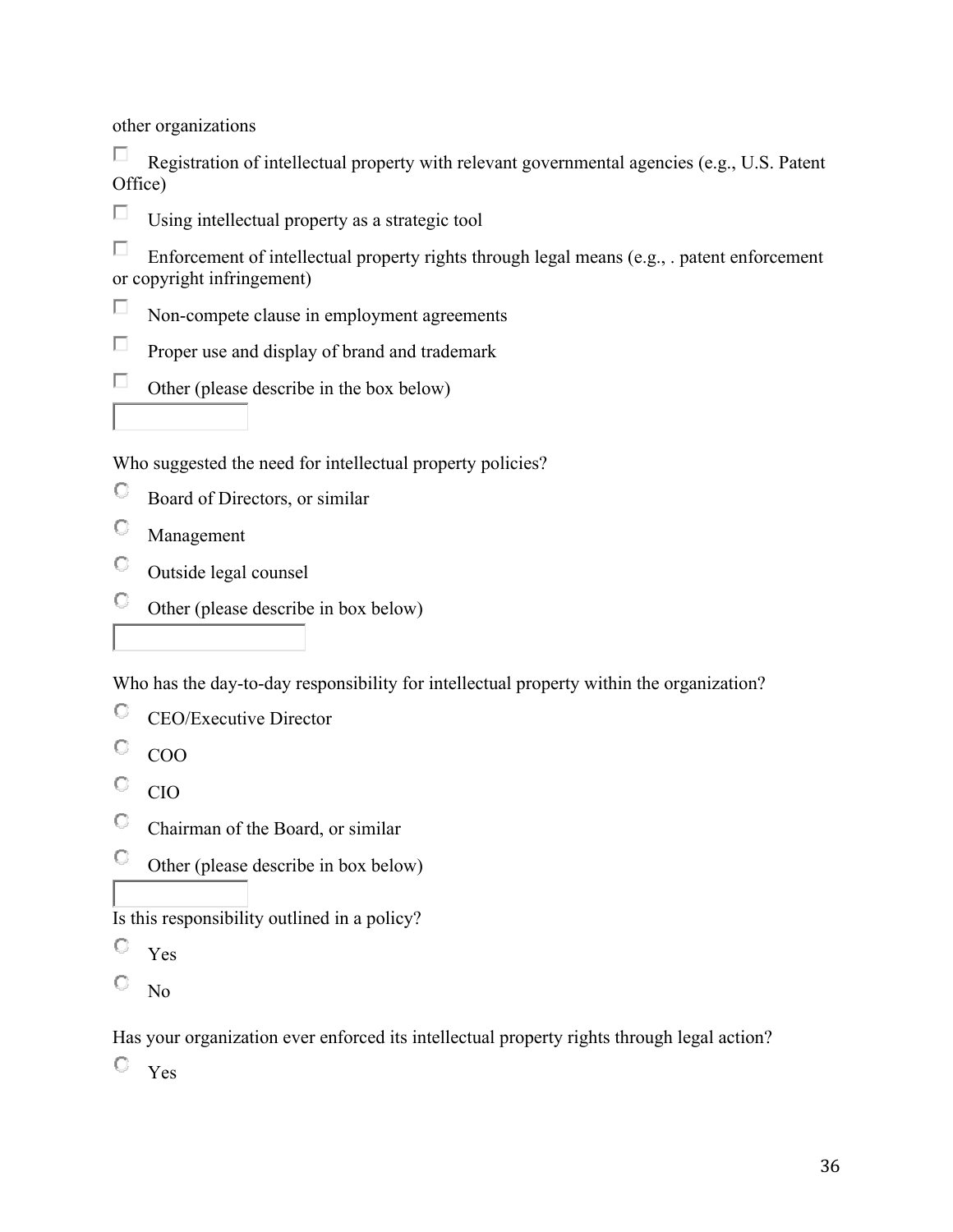other organizations

П Registration of intellectual property with relevant governmental agencies (e.g., U.S. Patent Office)

П Using intellectual property as a strategic tool

П Enforcement of intellectual property rights through legal means (e.g., . patent enforcement or copyright infringement)

- $\Box$ Non-compete clause in employment agreements
- П Proper use and display of brand and trademark
- $\Box$ Other (please describe in the box below)

Who suggested the need for intellectual property policies?

- О Board of Directors, or similar
- О Management
- O Outside legal counsel
- О. Other (please describe in box below)

Who has the day-to-day responsibility for intellectual property within the organization?

- О CEO/Executive Director
- $\hbox{C}$ COO
- $\mathbb{C}^-$ CIO
- $\circ$ Chairman of the Board, or similar
- $\mathbb{C}^-$ Other (please describe in box below)

Is this responsibility outlined in a policy?

- O Yes
- О No

Has your organization ever enforced its intellectual property rights through legal action?

Yes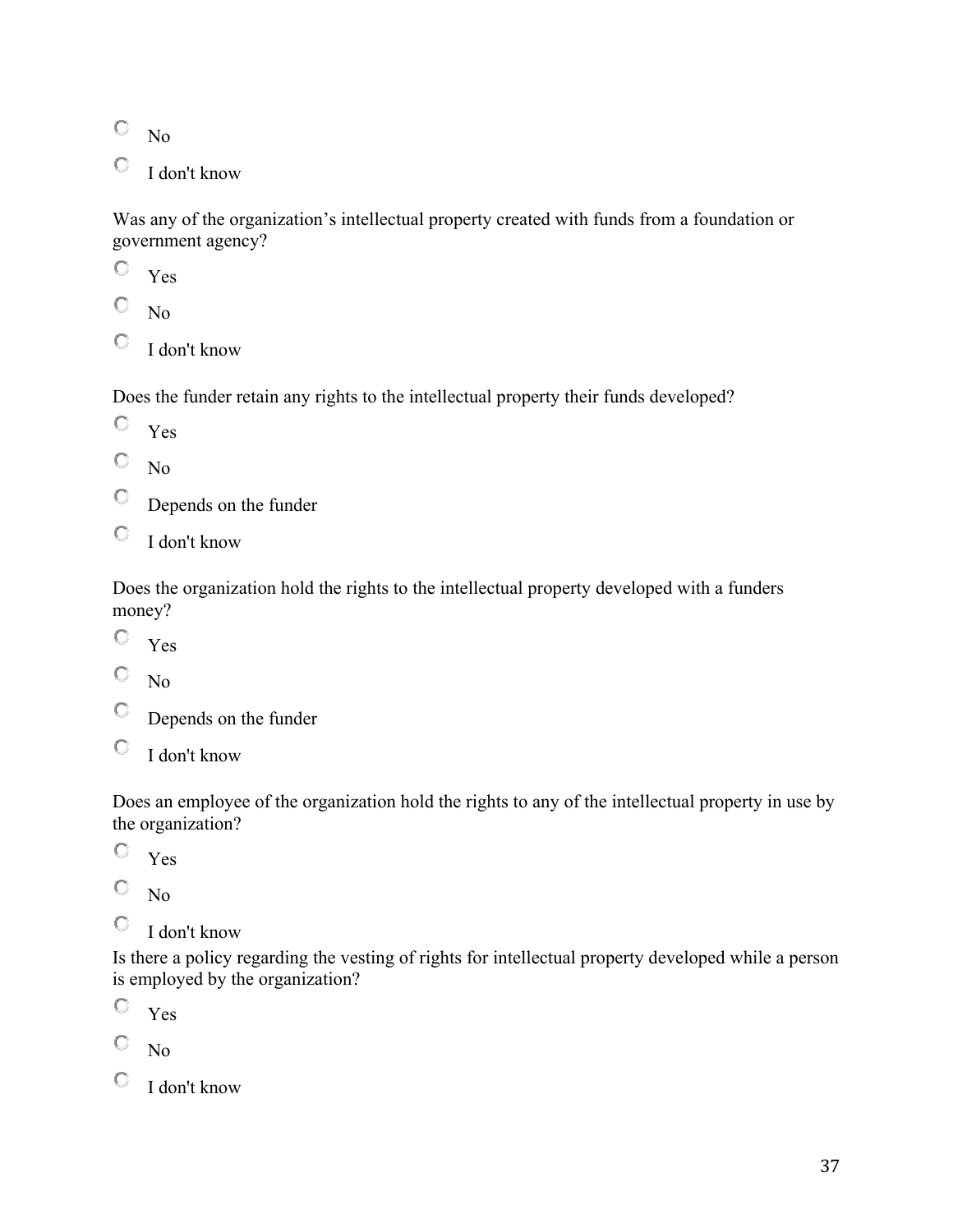$\mathbb{C}^-$ No

O I don't know

Was any of the organization's intellectual property created with funds from a foundation or government agency?

 $\circ$ Yes

О No

 $\mathbb{C}$  I don't know

Does the funder retain any rights to the intellectual property their funds developed?

- Yes
- О No
- 0. Depends on the funder
- O. I don't know

Does the organization hold the rights to the intellectual property developed with a funders money?

- $\mathbb{C}$  Yes
- О No
- О Depends on the funder
- О I don't know

Does an employee of the organization hold the rights to any of the intellectual property in use by the organization?

О. Yes

О No

О I don't know

Is there a policy regarding the vesting of rights for intellectual property developed while a person is employed by the organization?

О. Yes

О No

О. I don't know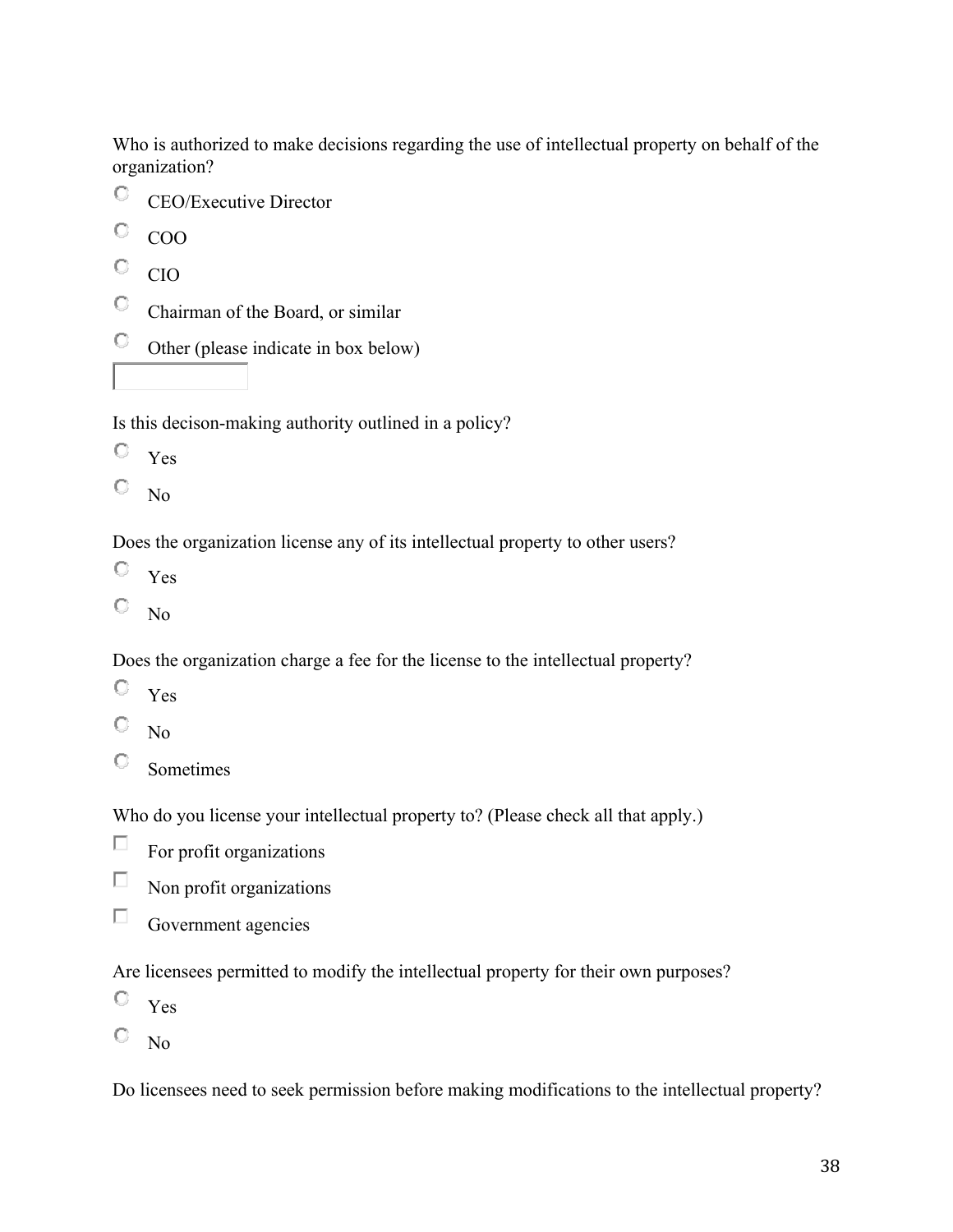Who is authorized to make decisions regarding the use of intellectual property on behalf of the organization?

- 0. CEO/Executive Director
- O COO
- О. CIO
- $\mathbf{C}$  . Chairman of the Board, or similar
- O., Other (please indicate in box below)

Is this decison-making authority outlined in a policy?

- О Yes
- 0. No

Does the organization license any of its intellectual property to other users?

- $\mathbb{C}$ Yes
- О No

Does the organization charge a fee for the license to the intellectual property?

- O Yes
- О No
- О Sometimes

Who do you license your intellectual property to? (Please check all that apply.)

- $\Box$ For profit organizations
- $\Box$ Non profit organizations
- П Government agencies

Are licensees permitted to modify the intellectual property for their own purposes?

- $\mathbb{C}^-$ Yes
- 0. No

Do licensees need to seek permission before making modifications to the intellectual property?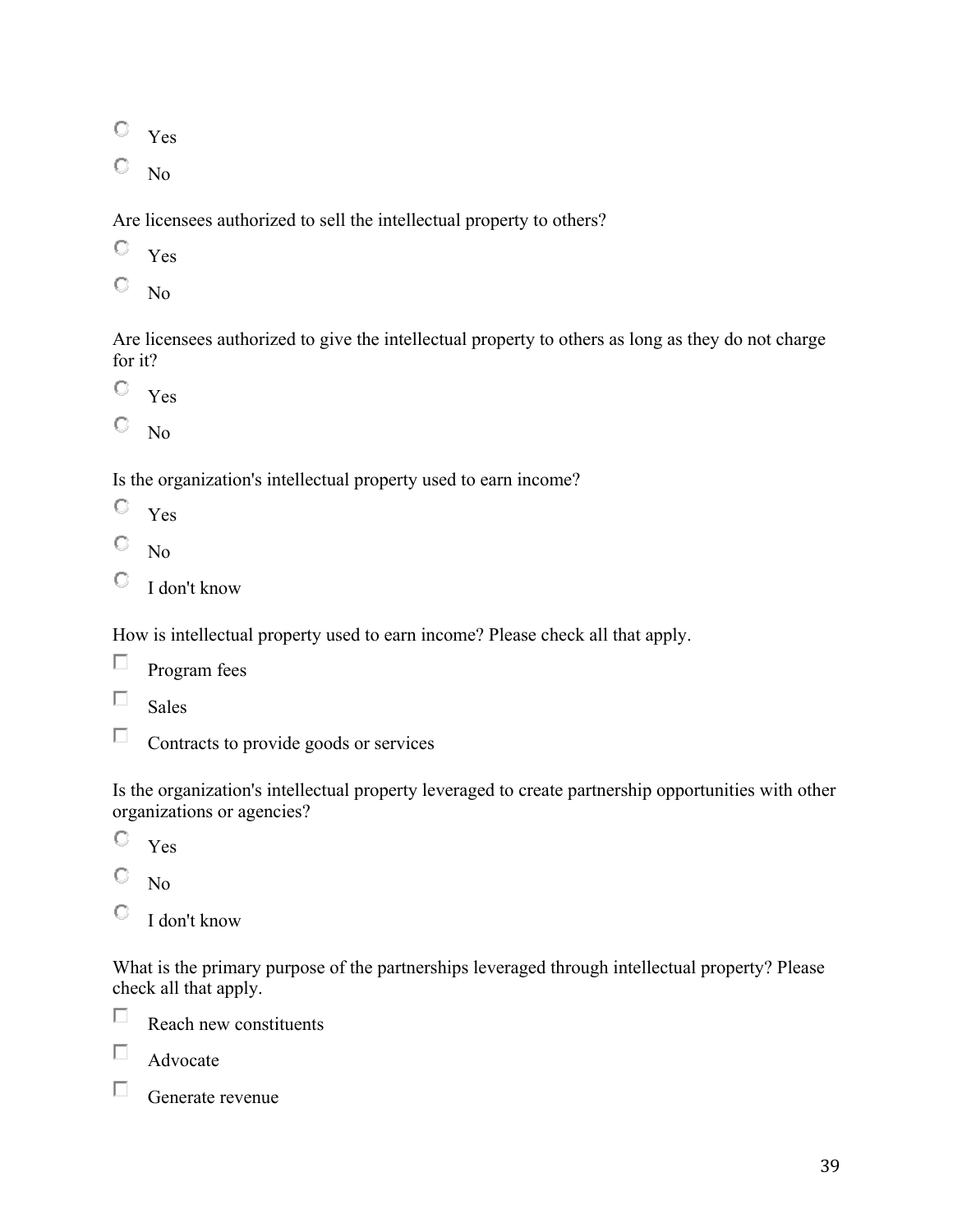Yes

 $\mathbb{C}^-$ No

Are licensees authorized to sell the intellectual property to others?

- О Yes
- О No

Are licensees authorized to give the intellectual property to others as long as they do not charge for it?

Yes

О. No

Is the organization's intellectual property used to earn income?

- $\mathbb{C}^-$ Yes
- О No
- О I don't know

How is intellectual property used to earn income? Please check all that apply.

| Program fees |  |
|--------------|--|
|              |  |

П Sales

П Contracts to provide goods or services

Is the organization's intellectual property leveraged to create partnership opportunities with other organizations or agencies?

- O. Yes
- O No
- O I don't know

What is the primary purpose of the partnerships leveraged through intellectual property? Please check all that apply.



Reach new constituents

П Advocate

П. Generate revenue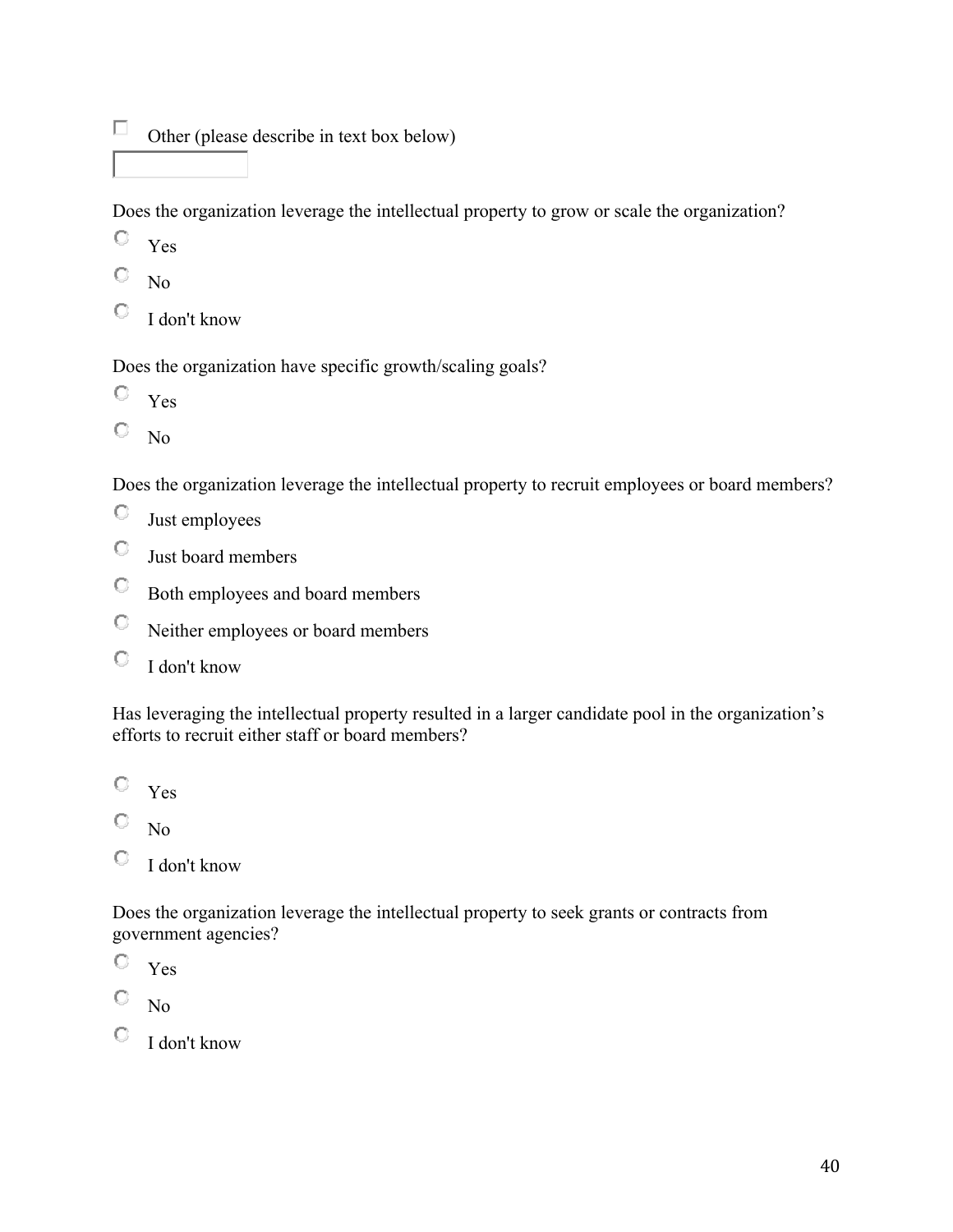$\Box$ Other (please describe in text box below)

Does the organization leverage the intellectual property to grow or scale the organization?

- O Yes
- О No
- O. I don't know

Does the organization have specific growth/scaling goals?

- $\hbox{C}$ Yes
- 0. No

Does the organization leverage the intellectual property to recruit employees or board members?

- 0 Just employees
- O Just board members
- О. Both employees and board members
- O Neither employees or board members
- O I don't know

Has leveraging the intellectual property resulted in a larger candidate pool in the organization's efforts to recruit either staff or board members?

О. Yes

O No

О I don't know

Does the organization leverage the intellectual property to seek grants or contracts from government agencies?

- О Yes
- О. No
- $\bigcirc$  I don't know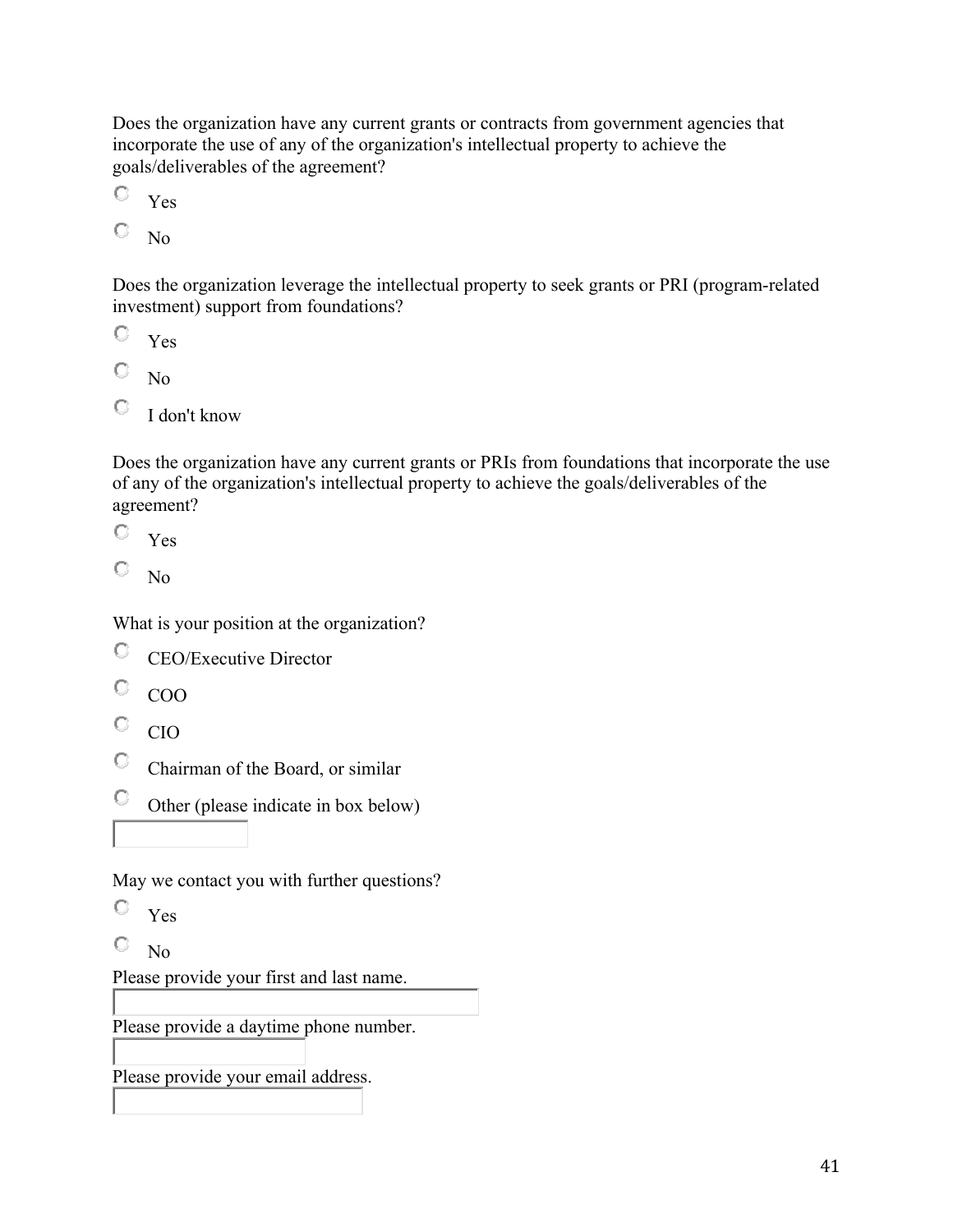Does the organization have any current grants or contracts from government agencies that incorporate the use of any of the organization's intellectual property to achieve the goals/deliverables of the agreement?

- 0. Yes
- О No

Does the organization leverage the intellectual property to seek grants or PRI (program-related investment) support from foundations?

- O Yes
- О No
- О. I don't know

Does the organization have any current grants or PRIs from foundations that incorporate the use of any of the organization's intellectual property to achieve the goals/deliverables of the agreement?

O. Yes

О. No

What is your position at the organization?

- $\mathbb{C}^-$ CEO/Executive Director
- О. COO
- $\mathbb{C}^-$ CIO

 $\circ$ Chairman of the Board, or similar

 $\heartsuit$  Other (please indicate in box below)

May we contact you with further questions?

- $\circ$ Yes
- 0. No

Please provide your first and last name.

Please provide a daytime phone number.

Please provide your email address.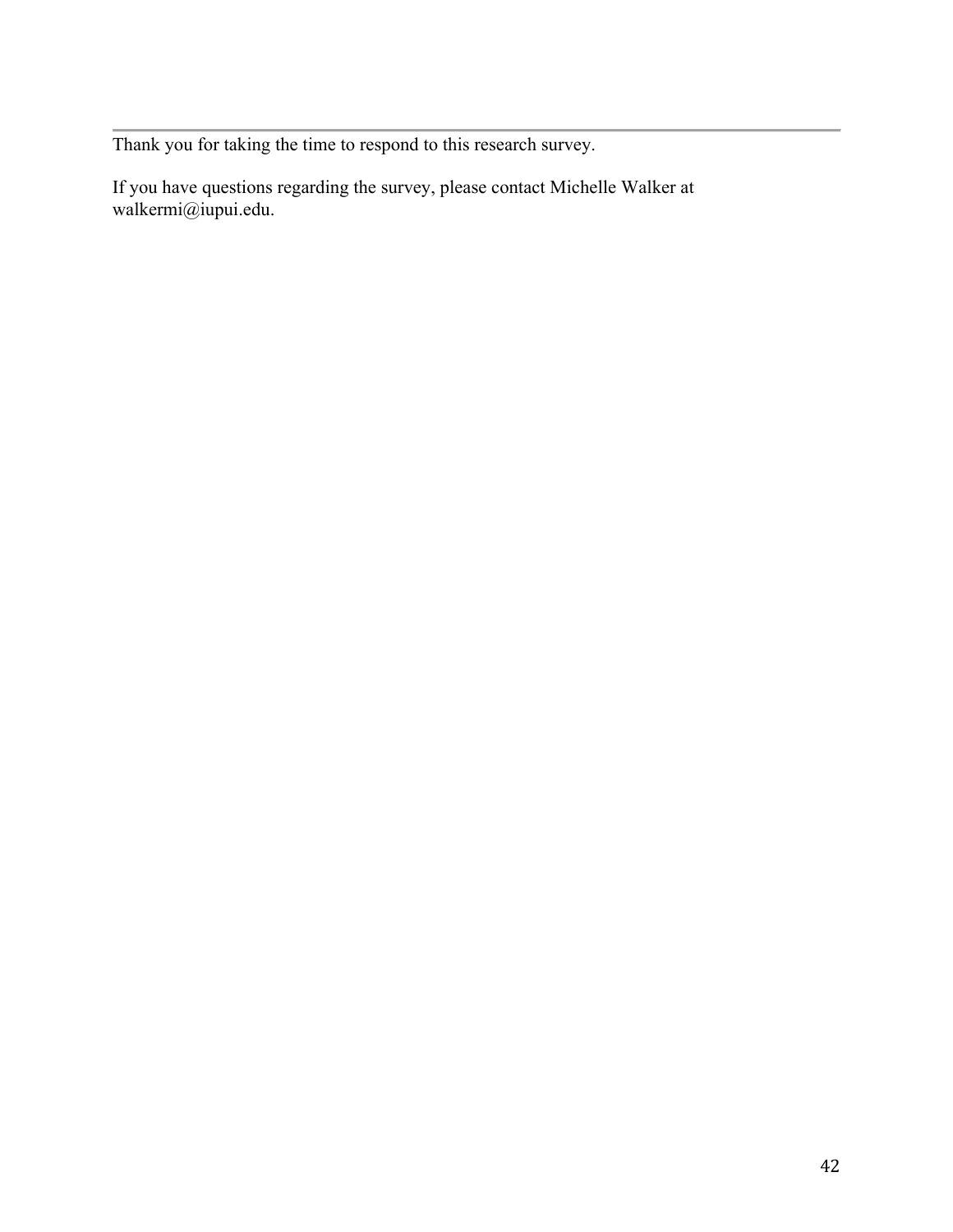Thank you for taking the time to respond to this research survey.

If you have questions regarding the survey, please contact Michelle Walker at walkermi@iupui.edu.